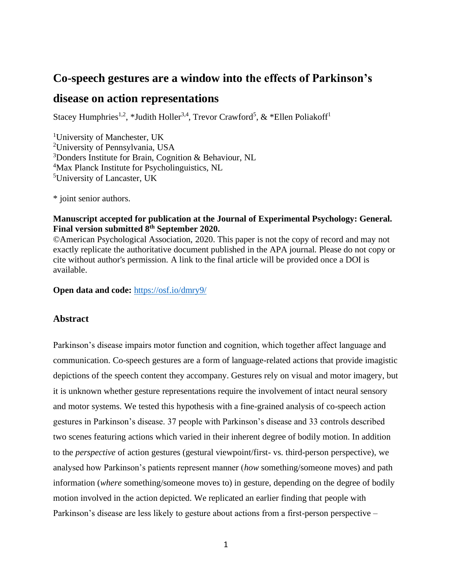# **Co-speech gestures are a window into the effects of Parkinson's**

# **disease on action representations**

Stacey Humphries<sup>1,2</sup>, \*Judith Holler<sup>3,4</sup>, Trevor Crawford<sup>5</sup>, & \*Ellen Poliakoff<sup>1</sup>

University of Manchester, UK University of Pennsylvania, USA Donders Institute for Brain, Cognition & Behaviour, NL <sup>4</sup>Max Planck Institute for Psycholinguistics, NL University of Lancaster, UK

\* joint senior authors.

### **Manuscript accepted for publication at the Journal of Experimental Psychology: General. Final version submitted 8th September 2020.**

©American Psychological Association, 2020. This paper is not the copy of record and may not exactly replicate the authoritative document published in the APA journal. Please do not copy or cite without author's permission. A link to the final article will be provided once a DOI is available.

**Open data and code:** <https://osf.io/dmry9/>

## **Abstract**

Parkinson's disease impairs motor function and cognition, which together affect language and communication. Co-speech gestures are a form of language-related actions that provide imagistic depictions of the speech content they accompany. Gestures rely on visual and motor imagery, but it is unknown whether gesture representations require the involvement of intact neural sensory and motor systems. We tested this hypothesis with a fine-grained analysis of co-speech action gestures in Parkinson's disease. 37 people with Parkinson's disease and 33 controls described two scenes featuring actions which varied in their inherent degree of bodily motion. In addition to the *perspective* of action gestures (gestural viewpoint/first- vs. third-person perspective), we analysed how Parkinson's patients represent manner (*how* something/someone moves) and path information (*where* something/someone moves to) in gesture, depending on the degree of bodily motion involved in the action depicted. We replicated an earlier finding that people with Parkinson's disease are less likely to gesture about actions from a first-person perspective –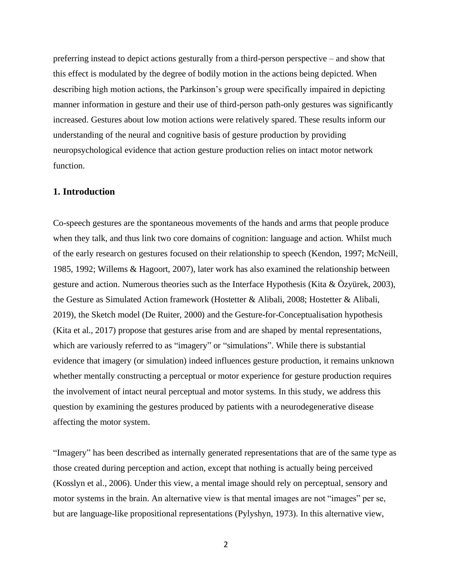preferring instead to depict actions gesturally from a third-person perspective – and show that this effect is modulated by the degree of bodily motion in the actions being depicted. When describing high motion actions, the Parkinson's group were specifically impaired in depicting manner information in gesture and their use of third-person path-only gestures was significantly increased. Gestures about low motion actions were relatively spared. These results inform our understanding of the neural and cognitive basis of gesture production by providing neuropsychological evidence that action gesture production relies on intact motor network function.

### **1. Introduction**

Co-speech gestures are the spontaneous movements of the hands and arms that people produce when they talk, and thus link two core domains of cognition: language and action. Whilst much of the early research on gestures focused on their relationship to speech (Kendon, 1997; McNeill, 1985, 1992; Willems & Hagoort, 2007), later work has also examined the relationship between gesture and action. Numerous theories such as the Interface Hypothesis (Kita & Özyürek, 2003), the Gesture as Simulated Action framework (Hostetter & Alibali, 2008; Hostetter & Alibali, 2019), the Sketch model (De Ruiter, 2000) and the Gesture-for-Conceptualisation hypothesis (Kita et al., 2017) propose that gestures arise from and are shaped by mental representations, which are variously referred to as "imagery" or "simulations". While there is substantial evidence that imagery (or simulation) indeed influences gesture production, it remains unknown whether mentally constructing a perceptual or motor experience for gesture production requires the involvement of intact neural perceptual and motor systems. In this study, we address this question by examining the gestures produced by patients with a neurodegenerative disease affecting the motor system.

"Imagery" has been described as internally generated representations that are of the same type as those created during perception and action, except that nothing is actually being perceived (Kosslyn et al., 2006). Under this view, a mental image should rely on perceptual, sensory and motor systems in the brain. An alternative view is that mental images are not "images" per se, but are language-like propositional representations (Pylyshyn, 1973). In this alternative view,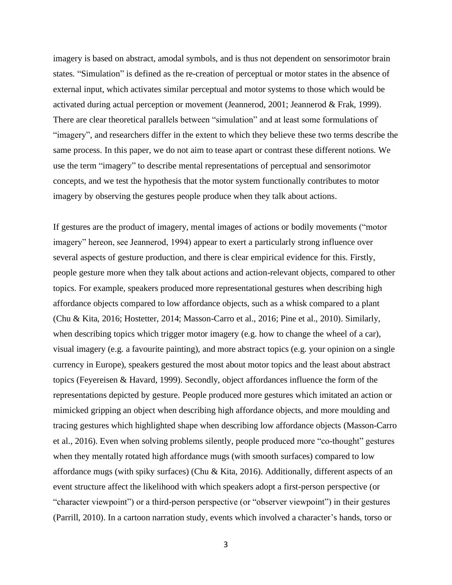imagery is based on abstract, amodal symbols, and is thus not dependent on sensorimotor brain states. "Simulation" is defined as the re-creation of perceptual or motor states in the absence of external input, which activates similar perceptual and motor systems to those which would be activated during actual perception or movement (Jeannerod, 2001; Jeannerod & Frak, 1999). There are clear theoretical parallels between "simulation" and at least some formulations of "imagery", and researchers differ in the extent to which they believe these two terms describe the same process. In this paper, we do not aim to tease apart or contrast these different notions. We use the term "imagery" to describe mental representations of perceptual and sensorimotor concepts, and we test the hypothesis that the motor system functionally contributes to motor imagery by observing the gestures people produce when they talk about actions.

If gestures are the product of imagery, mental images of actions or bodily movements ("motor imagery" hereon, see Jeannerod, 1994) appear to exert a particularly strong influence over several aspects of gesture production, and there is clear empirical evidence for this. Firstly, people gesture more when they talk about actions and action-relevant objects, compared to other topics. For example, speakers produced more representational gestures when describing high affordance objects compared to low affordance objects, such as a whisk compared to a plant (Chu & Kita, 2016; Hostetter, 2014; Masson-Carro et al., 2016; Pine et al., 2010). Similarly, when describing topics which trigger motor imagery (e.g. how to change the wheel of a car), visual imagery (e.g. a favourite painting), and more abstract topics (e.g. your opinion on a single currency in Europe), speakers gestured the most about motor topics and the least about abstract topics (Feyereisen & Havard, 1999). Secondly, object affordances influence the form of the representations depicted by gesture. People produced more gestures which imitated an action or mimicked gripping an object when describing high affordance objects, and more moulding and tracing gestures which highlighted shape when describing low affordance objects (Masson-Carro et al., 2016). Even when solving problems silently, people produced more "co-thought" gestures when they mentally rotated high affordance mugs (with smooth surfaces) compared to low affordance mugs (with spiky surfaces) (Chu & Kita, 2016). Additionally, different aspects of an event structure affect the likelihood with which speakers adopt a first-person perspective (or "character viewpoint") or a third-person perspective (or "observer viewpoint") in their gestures (Parrill, 2010). In a cartoon narration study, events which involved a character's hands, torso or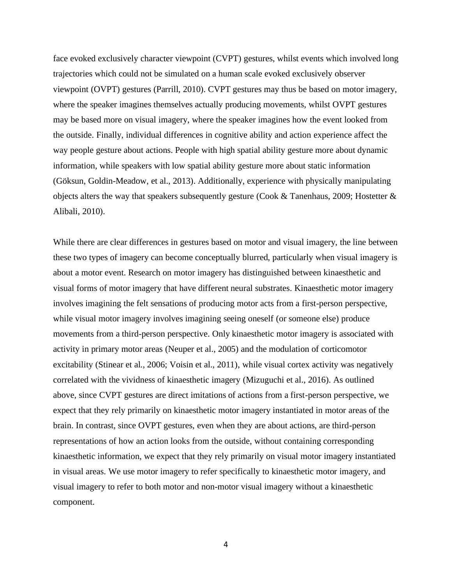face evoked exclusively character viewpoint (CVPT) gestures, whilst events which involved long trajectories which could not be simulated on a human scale evoked exclusively observer viewpoint (OVPT) gestures (Parrill, 2010). CVPT gestures may thus be based on motor imagery, where the speaker imagines themselves actually producing movements, whilst OVPT gestures may be based more on visual imagery, where the speaker imagines how the event looked from the outside. Finally, individual differences in cognitive ability and action experience affect the way people gesture about actions. People with high spatial ability gesture more about dynamic information, while speakers with low spatial ability gesture more about static information (Göksun, Goldin-Meadow, et al., 2013). Additionally, experience with physically manipulating objects alters the way that speakers subsequently gesture (Cook & Tanenhaus, 2009; Hostetter & Alibali, 2010).

While there are clear differences in gestures based on motor and visual imagery, the line between these two types of imagery can become conceptually blurred, particularly when visual imagery is about a motor event. Research on motor imagery has distinguished between kinaesthetic and visual forms of motor imagery that have different neural substrates. Kinaesthetic motor imagery involves imagining the felt sensations of producing motor acts from a first-person perspective, while visual motor imagery involves imagining seeing oneself (or someone else) produce movements from a third-person perspective. Only kinaesthetic motor imagery is associated with activity in primary motor areas (Neuper et al., 2005) and the modulation of corticomotor excitability (Stinear et al., 2006; Voisin et al., 2011), while visual cortex activity was negatively correlated with the vividness of kinaesthetic imagery (Mizuguchi et al., 2016). As outlined above, since CVPT gestures are direct imitations of actions from a first-person perspective, we expect that they rely primarily on kinaesthetic motor imagery instantiated in motor areas of the brain. In contrast, since OVPT gestures, even when they are about actions, are third-person representations of how an action looks from the outside, without containing corresponding kinaesthetic information, we expect that they rely primarily on visual motor imagery instantiated in visual areas. We use motor imagery to refer specifically to kinaesthetic motor imagery, and visual imagery to refer to both motor and non-motor visual imagery without a kinaesthetic component.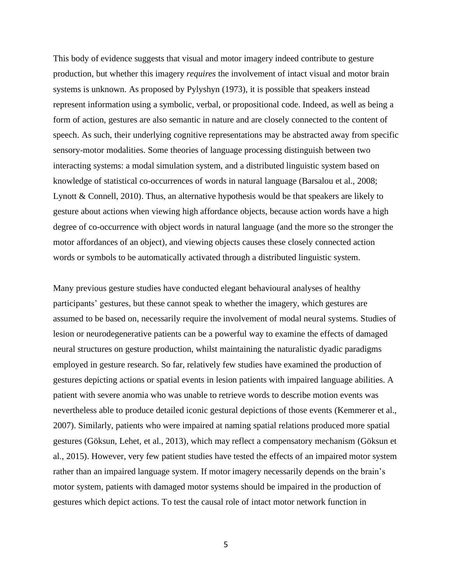This body of evidence suggests that visual and motor imagery indeed contribute to gesture production, but whether this imagery *requires* the involvement of intact visual and motor brain systems is unknown. As proposed by Pylyshyn (1973), it is possible that speakers instead represent information using a symbolic, verbal, or propositional code. Indeed, as well as being a form of action, gestures are also semantic in nature and are closely connected to the content of speech. As such, their underlying cognitive representations may be abstracted away from specific sensory-motor modalities. Some theories of language processing distinguish between two interacting systems: a modal simulation system, and a distributed linguistic system based on knowledge of statistical co-occurrences of words in natural language (Barsalou et al., 2008; Lynott & Connell, 2010). Thus, an alternative hypothesis would be that speakers are likely to gesture about actions when viewing high affordance objects, because action words have a high degree of co-occurrence with object words in natural language (and the more so the stronger the motor affordances of an object), and viewing objects causes these closely connected action words or symbols to be automatically activated through a distributed linguistic system.

Many previous gesture studies have conducted elegant behavioural analyses of healthy participants' gestures, but these cannot speak to whether the imagery, which gestures are assumed to be based on, necessarily require the involvement of modal neural systems. Studies of lesion or neurodegenerative patients can be a powerful way to examine the effects of damaged neural structures on gesture production, whilst maintaining the naturalistic dyadic paradigms employed in gesture research. So far, relatively few studies have examined the production of gestures depicting actions or spatial events in lesion patients with impaired language abilities. A patient with severe anomia who was unable to retrieve words to describe motion events was nevertheless able to produce detailed iconic gestural depictions of those events (Kemmerer et al., 2007). Similarly, patients who were impaired at naming spatial relations produced more spatial gestures (Göksun, Lehet, et al., 2013), which may reflect a compensatory mechanism (Göksun et al., 2015). However, very few patient studies have tested the effects of an impaired motor system rather than an impaired language system. If motor imagery necessarily depends on the brain's motor system, patients with damaged motor systems should be impaired in the production of gestures which depict actions. To test the causal role of intact motor network function in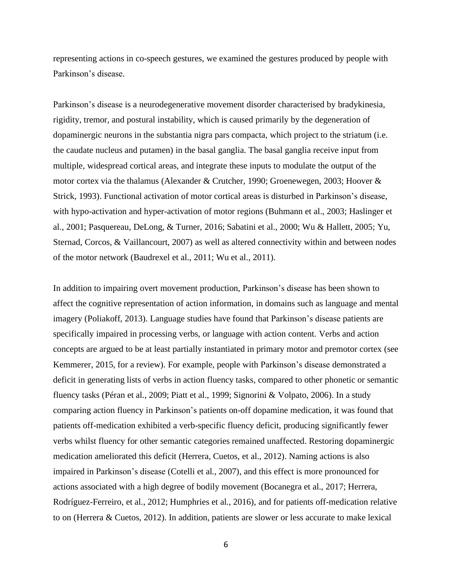representing actions in co-speech gestures, we examined the gestures produced by people with Parkinson's disease.

Parkinson's disease is a neurodegenerative movement disorder characterised by bradykinesia, rigidity, tremor, and postural instability, which is caused primarily by the degeneration of dopaminergic neurons in the substantia nigra pars compacta, which project to the striatum (i.e. the caudate nucleus and putamen) in the basal ganglia. The basal ganglia receive input from multiple, widespread cortical areas, and integrate these inputs to modulate the output of the motor cortex via the thalamus (Alexander & Crutcher, 1990; Groenewegen, 2003; Hoover & Strick, 1993). Functional activation of motor cortical areas is disturbed in Parkinson's disease, with hypo-activation and hyper-activation of motor regions (Buhmann et al., 2003; Haslinger et al., 2001; Pasquereau, DeLong, & Turner, 2016; Sabatini et al., 2000; Wu & Hallett, 2005; Yu, Sternad, Corcos, & Vaillancourt, 2007) as well as altered connectivity within and between nodes of the motor network (Baudrexel et al., 2011; Wu et al., 2011).

In addition to impairing overt movement production, Parkinson's disease has been shown to affect the cognitive representation of action information, in domains such as language and mental imagery (Poliakoff, 2013). Language studies have found that Parkinson's disease patients are specifically impaired in processing verbs, or language with action content. Verbs and action concepts are argued to be at least partially instantiated in primary motor and premotor cortex (see Kemmerer, 2015, for a review). For example, people with Parkinson's disease demonstrated a deficit in generating lists of verbs in action fluency tasks, compared to other phonetic or semantic fluency tasks (Péran et al., 2009; Piatt et al., 1999; Signorini & Volpato, 2006). In a study comparing action fluency in Parkinson's patients on-off dopamine medication, it was found that patients off-medication exhibited a verb-specific fluency deficit, producing significantly fewer verbs whilst fluency for other semantic categories remained unaffected. Restoring dopaminergic medication ameliorated this deficit (Herrera, Cuetos, et al., 2012). Naming actions is also impaired in Parkinson's disease (Cotelli et al., 2007), and this effect is more pronounced for actions associated with a high degree of bodily movement (Bocanegra et al., 2017; Herrera, Rodríguez-Ferreiro, et al., 2012; Humphries et al., 2016), and for patients off-medication relative to on (Herrera & Cuetos, 2012). In addition, patients are slower or less accurate to make lexical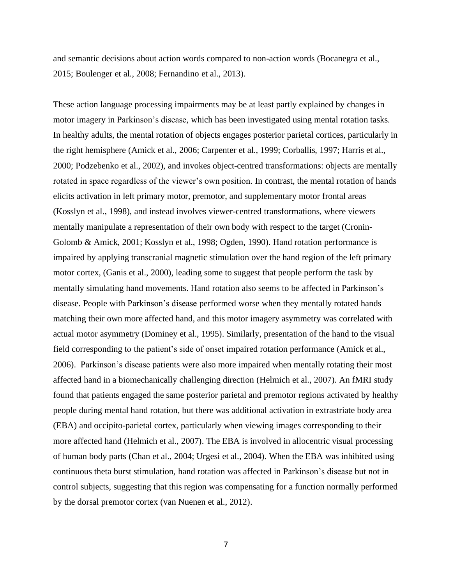and semantic decisions about action words compared to non-action words (Bocanegra et al., 2015; Boulenger et al., 2008; Fernandino et al., 2013).

These action language processing impairments may be at least partly explained by changes in motor imagery in Parkinson's disease, which has been investigated using mental rotation tasks. In healthy adults, the mental rotation of objects engages posterior parietal cortices, particularly in the right hemisphere (Amick et al., 2006; Carpenter et al., 1999; Corballis, 1997; Harris et al., 2000; Podzebenko et al., 2002), and invokes object-centred transformations: objects are mentally rotated in space regardless of the viewer's own position. In contrast, the mental rotation of hands elicits activation in left primary motor, premotor, and supplementary motor frontal areas (Kosslyn et al., 1998), and instead involves viewer-centred transformations, where viewers mentally manipulate a representation of their own body with respect to the target (Cronin-Golomb & Amick, 2001; Kosslyn et al., 1998; Ogden, 1990). Hand rotation performance is impaired by applying transcranial magnetic stimulation over the hand region of the left primary motor cortex, (Ganis et al., 2000), leading some to suggest that people perform the task by mentally simulating hand movements. Hand rotation also seems to be affected in Parkinson's disease. People with Parkinson's disease performed worse when they mentally rotated hands matching their own more affected hand, and this motor imagery asymmetry was correlated with actual motor asymmetry (Dominey et al., 1995). Similarly, presentation of the hand to the visual field corresponding to the patient's side of onset impaired rotation performance (Amick et al., 2006). Parkinson's disease patients were also more impaired when mentally rotating their most affected hand in a biomechanically challenging direction (Helmich et al., 2007). An fMRI study found that patients engaged the same posterior parietal and premotor regions activated by healthy people during mental hand rotation, but there was additional activation in extrastriate body area (EBA) and occipito-parietal cortex, particularly when viewing images corresponding to their more affected hand (Helmich et al., 2007). The EBA is involved in allocentric visual processing of human body parts (Chan et al., 2004; Urgesi et al., 2004). When the EBA was inhibited using continuous theta burst stimulation, hand rotation was affected in Parkinson's disease but not in control subjects, suggesting that this region was compensating for a function normally performed by the dorsal premotor cortex (van Nuenen et al., 2012).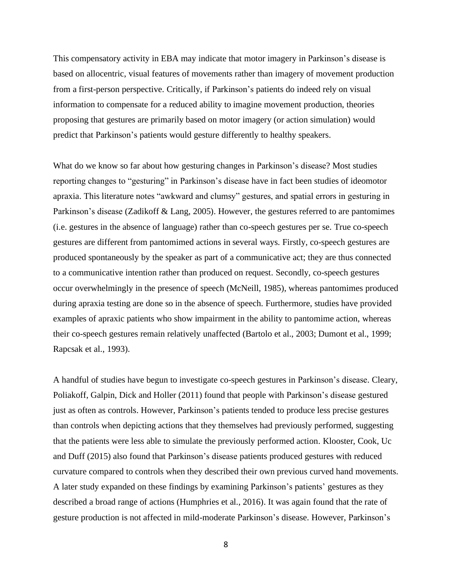This compensatory activity in EBA may indicate that motor imagery in Parkinson's disease is based on allocentric, visual features of movements rather than imagery of movement production from a first-person perspective. Critically, if Parkinson's patients do indeed rely on visual information to compensate for a reduced ability to imagine movement production, theories proposing that gestures are primarily based on motor imagery (or action simulation) would predict that Parkinson's patients would gesture differently to healthy speakers.

What do we know so far about how gesturing changes in Parkinson's disease? Most studies reporting changes to "gesturing" in Parkinson's disease have in fact been studies of ideomotor apraxia. This literature notes "awkward and clumsy" gestures, and spatial errors in gesturing in Parkinson's disease (Zadikoff & Lang, 2005). However, the gestures referred to are pantomimes (i.e. gestures in the absence of language) rather than co-speech gestures per se. True co-speech gestures are different from pantomimed actions in several ways. Firstly, co-speech gestures are produced spontaneously by the speaker as part of a communicative act; they are thus connected to a communicative intention rather than produced on request. Secondly, co-speech gestures occur overwhelmingly in the presence of speech (McNeill, 1985), whereas pantomimes produced during apraxia testing are done so in the absence of speech. Furthermore, studies have provided examples of apraxic patients who show impairment in the ability to pantomime action, whereas their co-speech gestures remain relatively unaffected (Bartolo et al., 2003; Dumont et al., 1999; Rapcsak et al., 1993).

A handful of studies have begun to investigate co-speech gestures in Parkinson's disease. Cleary, Poliakoff, Galpin, Dick and Holler (2011) found that people with Parkinson's disease gestured just as often as controls. However, Parkinson's patients tended to produce less precise gestures than controls when depicting actions that they themselves had previously performed, suggesting that the patients were less able to simulate the previously performed action. Klooster, Cook, Uc and Duff (2015) also found that Parkinson's disease patients produced gestures with reduced curvature compared to controls when they described their own previous curved hand movements. A later study expanded on these findings by examining Parkinson's patients' gestures as they described a broad range of actions (Humphries et al., 2016). It was again found that the rate of gesture production is not affected in mild-moderate Parkinson's disease. However, Parkinson's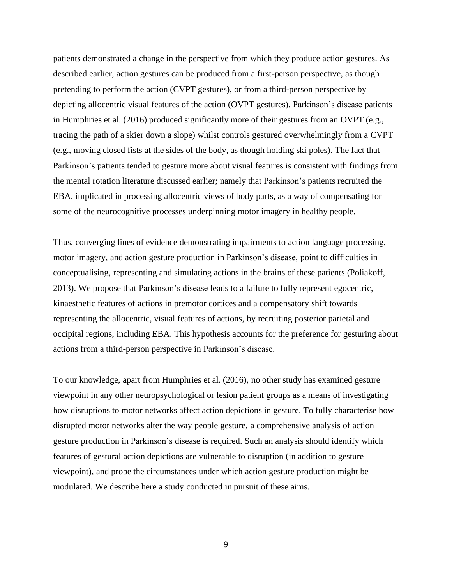patients demonstrated a change in the perspective from which they produce action gestures. As described earlier, action gestures can be produced from a first-person perspective, as though pretending to perform the action (CVPT gestures), or from a third-person perspective by depicting allocentric visual features of the action (OVPT gestures). Parkinson's disease patients in Humphries et al. (2016) produced significantly more of their gestures from an OVPT (e.g., tracing the path of a skier down a slope) whilst controls gestured overwhelmingly from a CVPT (e.g., moving closed fists at the sides of the body, as though holding ski poles). The fact that Parkinson's patients tended to gesture more about visual features is consistent with findings from the mental rotation literature discussed earlier; namely that Parkinson's patients recruited the EBA, implicated in processing allocentric views of body parts, as a way of compensating for some of the neurocognitive processes underpinning motor imagery in healthy people.

Thus, converging lines of evidence demonstrating impairments to action language processing, motor imagery, and action gesture production in Parkinson's disease, point to difficulties in conceptualising, representing and simulating actions in the brains of these patients (Poliakoff, 2013). We propose that Parkinson's disease leads to a failure to fully represent egocentric, kinaesthetic features of actions in premotor cortices and a compensatory shift towards representing the allocentric, visual features of actions, by recruiting posterior parietal and occipital regions, including EBA. This hypothesis accounts for the preference for gesturing about actions from a third-person perspective in Parkinson's disease.

To our knowledge, apart from Humphries et al. (2016), no other study has examined gesture viewpoint in any other neuropsychological or lesion patient groups as a means of investigating how disruptions to motor networks affect action depictions in gesture. To fully characterise how disrupted motor networks alter the way people gesture, a comprehensive analysis of action gesture production in Parkinson's disease is required. Such an analysis should identify which features of gestural action depictions are vulnerable to disruption (in addition to gesture viewpoint), and probe the circumstances under which action gesture production might be modulated. We describe here a study conducted in pursuit of these aims.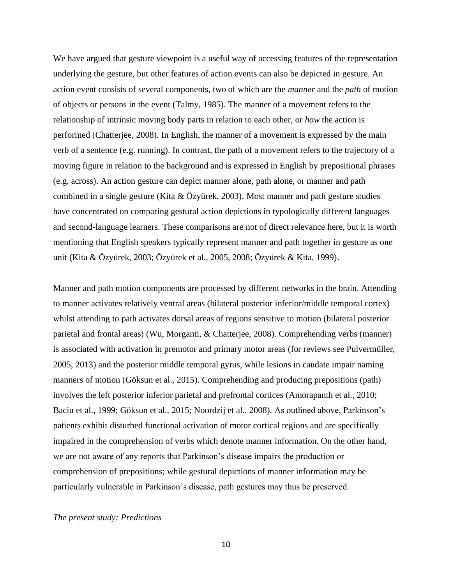We have argued that gesture viewpoint is a useful way of accessing features of the representation underlying the gesture, but other features of action events can also be depicted in gesture. An action event consists of several components, two of which are the *manner* and the *path* of motion of objects or persons in the event (Talmy, 1985). The manner of a movement refers to the relationship of intrinsic moving body parts in relation to each other, or *how* the action is performed (Chatterjee, 2008). In English, the manner of a movement is expressed by the main verb of a sentence (e.g. running). In contrast, the path of a movement refers to the trajectory of a moving figure in relation to the background and is expressed in English by prepositional phrases (e.g. across). An action gesture can depict manner alone, path alone, or manner and path combined in a single gesture (Kita & Özyürek, 2003). Most manner and path gesture studies have concentrated on comparing gestural action depictions in typologically different languages and second-language learners. These comparisons are not of direct relevance here, but it is worth mentioning that English speakers typically represent manner and path together in gesture as one unit (Kita & Özyürek, 2003; Özyürek et al., 2005, 2008; Özyürek & Kita, 1999).

Manner and path motion components are processed by different networks in the brain. Attending to manner activates relatively ventral areas (bilateral posterior inferior/middle temporal cortex) whilst attending to path activates dorsal areas of regions sensitive to motion (bilateral posterior parietal and frontal areas) (Wu, Morganti, & Chatterjee, 2008). Comprehending verbs (manner) is associated with activation in premotor and primary motor areas (for reviews see Pulvermüller, 2005, 2013) and the posterior middle temporal gyrus, while lesions in caudate impair naming manners of motion (Göksun et al., 2015). Comprehending and producing prepositions (path) involves the left posterior inferior parietal and prefrontal cortices (Amorapanth et al., 2010; Baciu et al., 1999; Göksun et al., 2015; Noordzij et al., 2008). As outlined above, Parkinson's patients exhibit disturbed functional activation of motor cortical regions and are specifically impaired in the comprehension of verbs which denote manner information. On the other hand, we are not aware of any reports that Parkinson's disease impairs the production or comprehension of prepositions; while gestural depictions of manner information may be particularly vulnerable in Parkinson's disease, path gestures may thus be preserved.

### *The present study: Predictions*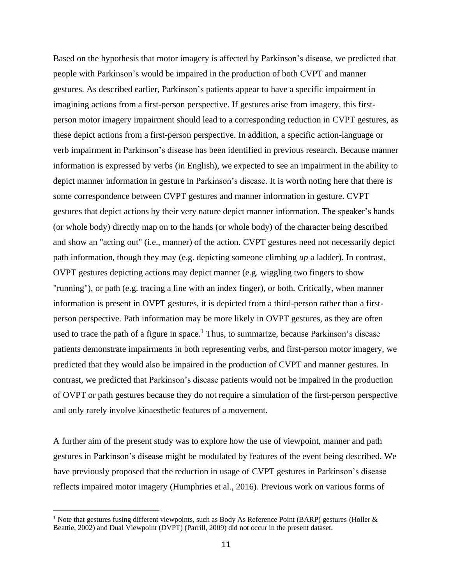Based on the hypothesis that motor imagery is affected by Parkinson's disease, we predicted that people with Parkinson's would be impaired in the production of both CVPT and manner gestures. As described earlier, Parkinson's patients appear to have a specific impairment in imagining actions from a first-person perspective. If gestures arise from imagery, this firstperson motor imagery impairment should lead to a corresponding reduction in CVPT gestures, as these depict actions from a first-person perspective. In addition, a specific action-language or verb impairment in Parkinson's disease has been identified in previous research. Because manner information is expressed by verbs (in English), we expected to see an impairment in the ability to depict manner information in gesture in Parkinson's disease. It is worth noting here that there is some correspondence between CVPT gestures and manner information in gesture. CVPT gestures that depict actions by their very nature depict manner information. The speaker's hands (or whole body) directly map on to the hands (or whole body) of the character being described and show an "acting out" (i.e., manner) of the action. CVPT gestures need not necessarily depict path information, though they may (e.g. depicting someone climbing *up* a ladder). In contrast, OVPT gestures depicting actions may depict manner (e.g. wiggling two fingers to show "running"), or path (e.g. tracing a line with an index finger), or both. Critically, when manner information is present in OVPT gestures, it is depicted from a third-person rather than a firstperson perspective. Path information may be more likely in OVPT gestures, as they are often used to trace the path of a figure in space.<sup>1</sup> Thus, to summarize, because Parkinson's disease patients demonstrate impairments in both representing verbs, and first-person motor imagery, we predicted that they would also be impaired in the production of CVPT and manner gestures. In contrast, we predicted that Parkinson's disease patients would not be impaired in the production of OVPT or path gestures because they do not require a simulation of the first-person perspective and only rarely involve kinaesthetic features of a movement.

A further aim of the present study was to explore how the use of viewpoint, manner and path gestures in Parkinson's disease might be modulated by features of the event being described. We have previously proposed that the reduction in usage of CVPT gestures in Parkinson's disease reflects impaired motor imagery (Humphries et al., 2016). Previous work on various forms of

<sup>&</sup>lt;sup>1</sup> Note that gestures fusing different viewpoints, such as Body As Reference Point (BARP) gestures (Holler  $\&$ Beattie, 2002) and Dual Viewpoint (DVPT) (Parrill, 2009) did not occur in the present dataset.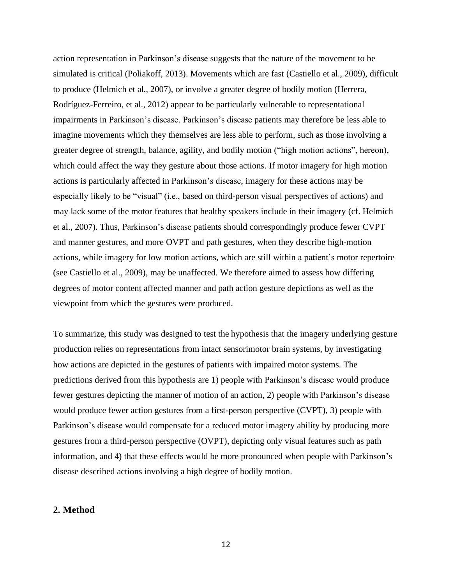action representation in Parkinson's disease suggests that the nature of the movement to be simulated is critical (Poliakoff, 2013). Movements which are fast (Castiello et al., 2009), difficult to produce (Helmich et al., 2007), or involve a greater degree of bodily motion (Herrera, Rodríguez-Ferreiro, et al., 2012) appear to be particularly vulnerable to representational impairments in Parkinson's disease. Parkinson's disease patients may therefore be less able to imagine movements which they themselves are less able to perform, such as those involving a greater degree of strength, balance, agility, and bodily motion ("high motion actions", hereon), which could affect the way they gesture about those actions. If motor imagery for high motion actions is particularly affected in Parkinson's disease, imagery for these actions may be especially likely to be "visual" (i.e., based on third-person visual perspectives of actions) and may lack some of the motor features that healthy speakers include in their imagery (cf. Helmich et al., 2007). Thus, Parkinson's disease patients should correspondingly produce fewer CVPT and manner gestures, and more OVPT and path gestures, when they describe high-motion actions, while imagery for low motion actions, which are still within a patient's motor repertoire (see Castiello et al., 2009), may be unaffected. We therefore aimed to assess how differing degrees of motor content affected manner and path action gesture depictions as well as the viewpoint from which the gestures were produced.

To summarize, this study was designed to test the hypothesis that the imagery underlying gesture production relies on representations from intact sensorimotor brain systems, by investigating how actions are depicted in the gestures of patients with impaired motor systems. The predictions derived from this hypothesis are 1) people with Parkinson's disease would produce fewer gestures depicting the manner of motion of an action, 2) people with Parkinson's disease would produce fewer action gestures from a first-person perspective (CVPT), 3) people with Parkinson's disease would compensate for a reduced motor imagery ability by producing more gestures from a third-person perspective (OVPT), depicting only visual features such as path information, and 4) that these effects would be more pronounced when people with Parkinson's disease described actions involving a high degree of bodily motion.

### **2. Method**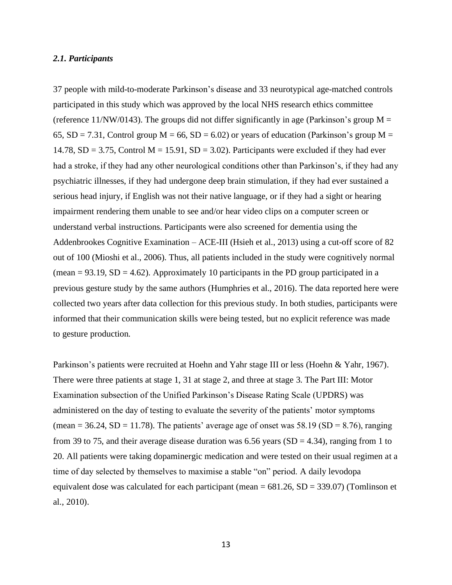#### *2.1. Participants*

37 people with mild-to-moderate Parkinson's disease and 33 neurotypical age-matched controls participated in this study which was approved by the local NHS research ethics committee (reference 11/NW/0143). The groups did not differ significantly in age (Parkinson's group  $M =$ 65,  $SD = 7.31$ , Control group M = 66,  $SD = 6.02$ ) or years of education (Parkinson's group M = 14.78,  $SD = 3.75$ , Control M = 15.91,  $SD = 3.02$ ). Participants were excluded if they had ever had a stroke, if they had any other neurological conditions other than Parkinson's, if they had any psychiatric illnesses, if they had undergone deep brain stimulation, if they had ever sustained a serious head injury, if English was not their native language, or if they had a sight or hearing impairment rendering them unable to see and/or hear video clips on a computer screen or understand verbal instructions. Participants were also screened for dementia using the Addenbrookes Cognitive Examination – ACE-III (Hsieh et al., 2013) using a cut-off score of 82 out of 100 (Mioshi et al., 2006). Thus, all patients included in the study were cognitively normal (mean =  $93.19$ , SD =  $4.62$ ). Approximately 10 participants in the PD group participated in a previous gesture study by the same authors (Humphries et al., 2016). The data reported here were collected two years after data collection for this previous study. In both studies, participants were informed that their communication skills were being tested, but no explicit reference was made to gesture production.

Parkinson's patients were recruited at Hoehn and Yahr stage III or less (Hoehn & Yahr, 1967). There were three patients at stage 1, 31 at stage 2, and three at stage 3. The Part III: Motor Examination subsection of the Unified Parkinson's Disease Rating Scale (UPDRS) was administered on the day of testing to evaluate the severity of the patients' motor symptoms (mean = 36.24, SD = 11.78). The patients' average age of onset was  $58.19$  (SD = 8.76), ranging from 39 to 75, and their average disease duration was 6.56 years ( $SD = 4.34$ ), ranging from 1 to 20. All patients were taking dopaminergic medication and were tested on their usual regimen at a time of day selected by themselves to maximise a stable "on" period. A daily levodopa equivalent dose was calculated for each participant (mean  $= 681.26$ , SD  $= 339.07$ ) (Tomlinson et al., 2010).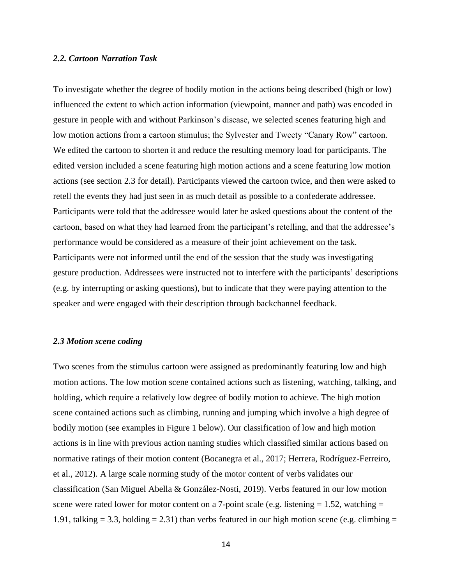#### *2.2. Cartoon Narration Task*

To investigate whether the degree of bodily motion in the actions being described (high or low) influenced the extent to which action information (viewpoint, manner and path) was encoded in gesture in people with and without Parkinson's disease, we selected scenes featuring high and low motion actions from a cartoon stimulus; the Sylvester and Tweety "Canary Row" cartoon. We edited the cartoon to shorten it and reduce the resulting memory load for participants. The edited version included a scene featuring high motion actions and a scene featuring low motion actions (see section 2.3 for detail). Participants viewed the cartoon twice, and then were asked to retell the events they had just seen in as much detail as possible to a confederate addressee. Participants were told that the addressee would later be asked questions about the content of the cartoon, based on what they had learned from the participant's retelling, and that the addressee's performance would be considered as a measure of their joint achievement on the task. Participants were not informed until the end of the session that the study was investigating gesture production. Addressees were instructed not to interfere with the participants' descriptions (e.g. by interrupting or asking questions), but to indicate that they were paying attention to the speaker and were engaged with their description through backchannel feedback.

#### *2.3 Motion scene coding*

Two scenes from the stimulus cartoon were assigned as predominantly featuring low and high motion actions. The low motion scene contained actions such as listening, watching, talking, and holding, which require a relatively low degree of bodily motion to achieve. The high motion scene contained actions such as climbing, running and jumping which involve a high degree of bodily motion (see examples in Figure 1 below). Our classification of low and high motion actions is in line with previous action naming studies which classified similar actions based on normative ratings of their motion content (Bocanegra et al., 2017; Herrera, Rodríguez-Ferreiro, et al., 2012). A large scale norming study of the motor content of verbs validates our classification (San Miguel Abella & González-Nosti, 2019). Verbs featured in our low motion scene were rated lower for motor content on a 7-point scale (e.g. listening  $= 1.52$ , watching  $=$ 1.91, talking  $= 3.3$ , holding  $= 2.31$ ) than verbs featured in our high motion scene (e.g. climbing  $=$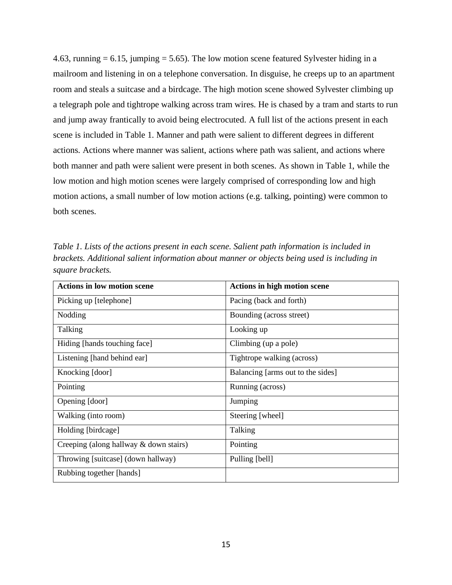4.63, running  $= 6.15$ , jumping  $= 5.65$ ). The low motion scene featured Sylvester hiding in a mailroom and listening in on a telephone conversation. In disguise, he creeps up to an apartment room and steals a suitcase and a birdcage. The high motion scene showed Sylvester climbing up a telegraph pole and tightrope walking across tram wires. He is chased by a tram and starts to run and jump away frantically to avoid being electrocuted. A full list of the actions present in each scene is included in Table 1. Manner and path were salient to different degrees in different actions. Actions where manner was salient, actions where path was salient, and actions where both manner and path were salient were present in both scenes. As shown in Table 1, while the low motion and high motion scenes were largely comprised of corresponding low and high motion actions, a small number of low motion actions (e.g. talking, pointing) were common to both scenes.

*Table 1. Lists of the actions present in each scene. Salient path information is included in brackets. Additional salient information about manner or objects being used is including in square brackets.* 

| <b>Actions in low motion scene</b>     | Actions in high motion scene      |
|----------------------------------------|-----------------------------------|
| Picking up [telephone]                 | Pacing (back and forth)           |
| Nodding                                | Bounding (across street)          |
| Talking                                | Looking up                        |
| Hiding [hands touching face]           | Climbing (up a pole)              |
| Listening [hand behind ear]            | Tightrope walking (across)        |
| Knocking [door]                        | Balancing [arms out to the sides] |
| Pointing                               | Running (across)                  |
| Opening [door]                         | Jumping                           |
| Walking (into room)                    | Steering [wheel]                  |
| Holding [birdcage]                     | Talking                           |
| Creeping (along hallway & down stairs) | Pointing                          |
| Throwing [suitcase] (down hallway)     | Pulling [bell]                    |
| Rubbing together [hands]               |                                   |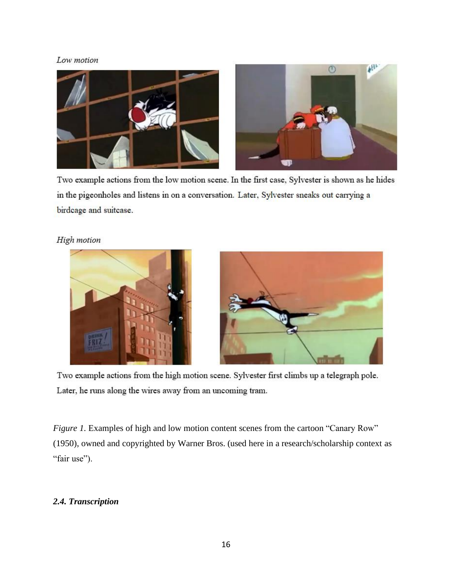## Low motion



Two example actions from the low motion scene. In the first case, Sylvester is shown as he hides in the pigeonholes and listens in on a conversation. Later, Sylvester sneaks out carrying a birdcage and suitcase.

## High motion



Two example actions from the high motion scene. Sylvester first climbs up a telegraph pole. Later, he runs along the wires away from an uncoming tram.

*Figure 1.* Examples of high and low motion content scenes from the cartoon "Canary Row" (1950), owned and copyrighted by Warner Bros. (used here in a research/scholarship context as "fair use").

## *2.4. Transcription*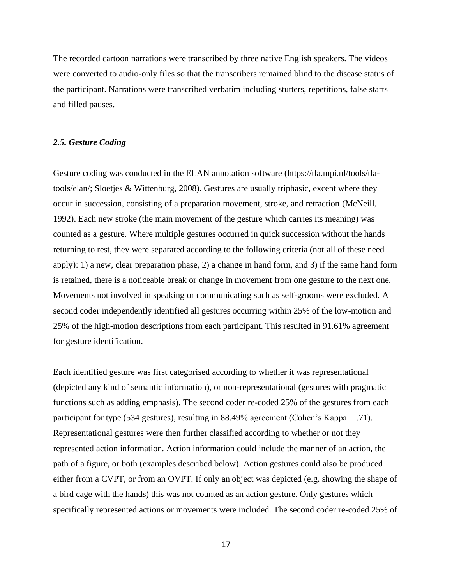The recorded cartoon narrations were transcribed by three native English speakers. The videos were converted to audio-only files so that the transcribers remained blind to the disease status of the participant. Narrations were transcribed verbatim including stutters, repetitions, false starts and filled pauses.

#### *2.5. Gesture Coding*

Gesture coding was conducted in the ELAN annotation software (https://tla.mpi.nl/tools/tlatools/elan/; Sloetjes & Wittenburg, 2008). Gestures are usually triphasic, except where they occur in succession, consisting of a preparation movement, stroke, and retraction (McNeill, 1992). Each new stroke (the main movement of the gesture which carries its meaning) was counted as a gesture. Where multiple gestures occurred in quick succession without the hands returning to rest, they were separated according to the following criteria (not all of these need apply): 1) a new, clear preparation phase, 2) a change in hand form, and 3) if the same hand form is retained, there is a noticeable break or change in movement from one gesture to the next one. Movements not involved in speaking or communicating such as self-grooms were excluded. A second coder independently identified all gestures occurring within 25% of the low-motion and 25% of the high-motion descriptions from each participant. This resulted in 91.61% agreement for gesture identification.

Each identified gesture was first categorised according to whether it was representational (depicted any kind of semantic information), or non-representational (gestures with pragmatic functions such as adding emphasis). The second coder re-coded 25% of the gestures from each participant for type (534 gestures), resulting in 88.49% agreement (Cohen's Kappa = .71). Representational gestures were then further classified according to whether or not they represented action information. Action information could include the manner of an action, the path of a figure, or both (examples described below). Action gestures could also be produced either from a CVPT, or from an OVPT. If only an object was depicted (e.g. showing the shape of a bird cage with the hands) this was not counted as an action gesture. Only gestures which specifically represented actions or movements were included. The second coder re-coded 25% of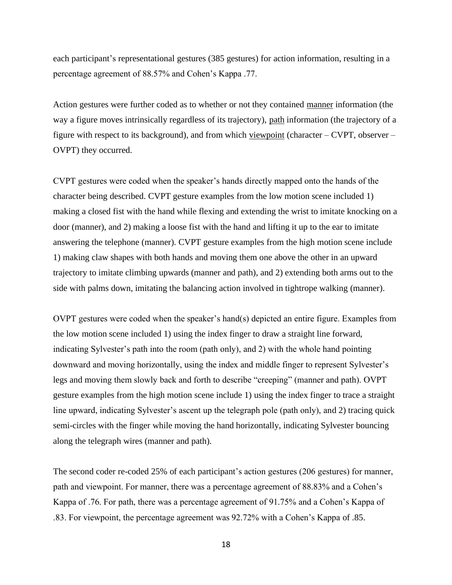each participant's representational gestures (385 gestures) for action information, resulting in a percentage agreement of 88.57% and Cohen's Kappa .77.

Action gestures were further coded as to whether or not they contained manner information (the way a figure moves intrinsically regardless of its trajectory), path information (the trajectory of a figure with respect to its background), and from which viewpoint (character – CVPT, observer – OVPT) they occurred.

CVPT gestures were coded when the speaker's hands directly mapped onto the hands of the character being described. CVPT gesture examples from the low motion scene included 1) making a closed fist with the hand while flexing and extending the wrist to imitate knocking on a door (manner), and 2) making a loose fist with the hand and lifting it up to the ear to imitate answering the telephone (manner). CVPT gesture examples from the high motion scene include 1) making claw shapes with both hands and moving them one above the other in an upward trajectory to imitate climbing upwards (manner and path), and 2) extending both arms out to the side with palms down, imitating the balancing action involved in tightrope walking (manner).

OVPT gestures were coded when the speaker's hand(s) depicted an entire figure. Examples from the low motion scene included 1) using the index finger to draw a straight line forward, indicating Sylvester's path into the room (path only), and 2) with the whole hand pointing downward and moving horizontally, using the index and middle finger to represent Sylvester's legs and moving them slowly back and forth to describe "creeping" (manner and path). OVPT gesture examples from the high motion scene include 1) using the index finger to trace a straight line upward, indicating Sylvester's ascent up the telegraph pole (path only), and 2) tracing quick semi-circles with the finger while moving the hand horizontally, indicating Sylvester bouncing along the telegraph wires (manner and path).

The second coder re-coded 25% of each participant's action gestures (206 gestures) for manner, path and viewpoint. For manner, there was a percentage agreement of 88.83% and a Cohen's Kappa of .76. For path, there was a percentage agreement of 91.75% and a Cohen's Kappa of .83. For viewpoint, the percentage agreement was 92.72% with a Cohen's Kappa of .85.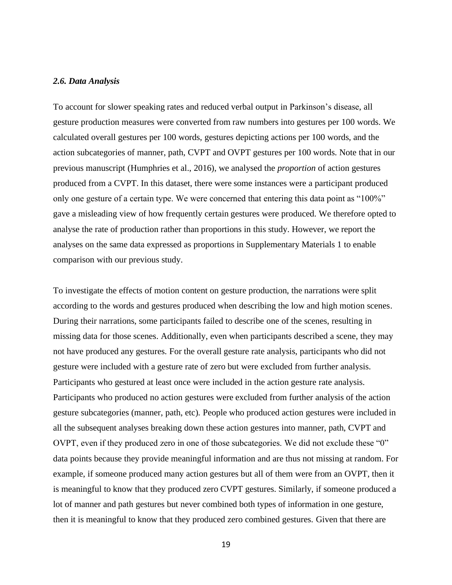#### *2.6. Data Analysis*

To account for slower speaking rates and reduced verbal output in Parkinson's disease, all gesture production measures were converted from raw numbers into gestures per 100 words. We calculated overall gestures per 100 words, gestures depicting actions per 100 words, and the action subcategories of manner, path, CVPT and OVPT gestures per 100 words. Note that in our previous manuscript (Humphries et al., 2016), we analysed the *proportion* of action gestures produced from a CVPT. In this dataset, there were some instances were a participant produced only one gesture of a certain type. We were concerned that entering this data point as "100%" gave a misleading view of how frequently certain gestures were produced. We therefore opted to analyse the rate of production rather than proportions in this study. However, we report the analyses on the same data expressed as proportions in Supplementary Materials 1 to enable comparison with our previous study.

To investigate the effects of motion content on gesture production, the narrations were split according to the words and gestures produced when describing the low and high motion scenes. During their narrations, some participants failed to describe one of the scenes, resulting in missing data for those scenes. Additionally, even when participants described a scene, they may not have produced any gestures. For the overall gesture rate analysis, participants who did not gesture were included with a gesture rate of zero but were excluded from further analysis. Participants who gestured at least once were included in the action gesture rate analysis. Participants who produced no action gestures were excluded from further analysis of the action gesture subcategories (manner, path, etc). People who produced action gestures were included in all the subsequent analyses breaking down these action gestures into manner, path, CVPT and OVPT, even if they produced zero in one of those subcategories. We did not exclude these "0" data points because they provide meaningful information and are thus not missing at random. For example, if someone produced many action gestures but all of them were from an OVPT, then it is meaningful to know that they produced zero CVPT gestures. Similarly, if someone produced a lot of manner and path gestures but never combined both types of information in one gesture, then it is meaningful to know that they produced zero combined gestures. Given that there are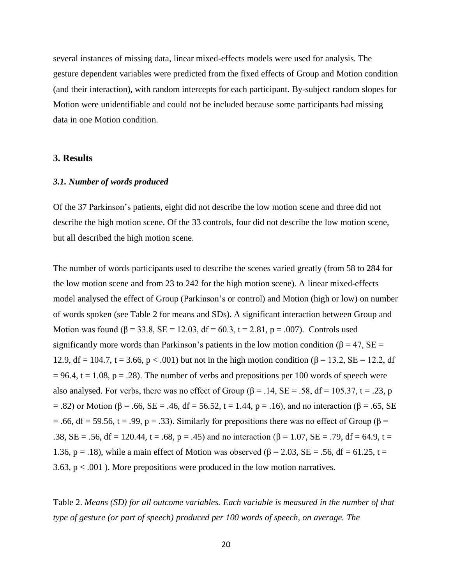several instances of missing data, linear mixed-effects models were used for analysis. The gesture dependent variables were predicted from the fixed effects of Group and Motion condition (and their interaction), with random intercepts for each participant. By-subject random slopes for Motion were unidentifiable and could not be included because some participants had missing data in one Motion condition.

### **3. Results**

## *3.1. Number of words produced*

Of the 37 Parkinson's patients, eight did not describe the low motion scene and three did not describe the high motion scene. Of the 33 controls, four did not describe the low motion scene, but all described the high motion scene.

The number of words participants used to describe the scenes varied greatly (from 58 to 284 for the low motion scene and from 23 to 242 for the high motion scene). A linear mixed-effects model analysed the effect of Group (Parkinson's or control) and Motion (high or low) on number of words spoken (see Table 2 for means and SDs). A significant interaction between Group and Motion was found (β = 33.8, SE = 12.03, df = 60.3, t = 2.81, p = .007). Controls used significantly more words than Parkinson's patients in the low motion condition ( $\beta$  = 47, SE = 12.9, df = 104.7, t = 3.66, p < .001) but not in the high motion condition (β = 13.2, SE = 12.2, df  $= 96.4$ , t  $= 1.08$ , p  $= .28$ ). The number of verbs and prepositions per 100 words of speech were also analysed. For verbs, there was no effect of Group ( $\beta$  = .14, SE = .58, df = 105.37, t = .23, p  $=$  .82) or Motion (β = .66, SE = .46, df = 56.52, t = 1.44, p = .16), and no interaction (β = .65, SE = .66, df = 59.56, t = .99, p = .33). Similarly for prepositions there was no effect of Group ( $\beta$  = .38, SE = .56, df = 120.44, t = .68, p = .45) and no interaction  $(\beta = 1.07, SE = .79, df = 64.9, t =$ 1.36, p = .18), while a main effect of Motion was observed (β = 2.03, SE = .56, df = 61.25, t = 3.63,  $p < .001$ ). More prepositions were produced in the low motion narratives.

Table 2. *Means (SD) for all outcome variables. Each variable is measured in the number of that type of gesture (or part of speech) produced per 100 words of speech, on average. The*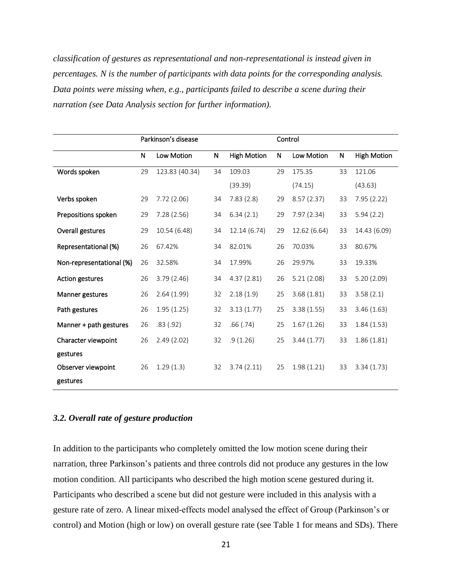*classification of gestures as representational and non-representational is instead given in percentages. N is the number of participants with data points for the corresponding analysis. Data points were missing when, e.g., participants failed to describe a scene during their narration (see Data Analysis section for further information).*

|                          | Parkinson's disease |                | Control      |                    |    |              |              |                    |
|--------------------------|---------------------|----------------|--------------|--------------------|----|--------------|--------------|--------------------|
|                          | $\mathsf{N}$        | Low Motion     | $\mathsf{N}$ | <b>High Motion</b> | N  | Low Motion   | $\mathsf{N}$ | <b>High Motion</b> |
| Words spoken             | 29                  | 123.83 (40.34) | 34           | 109.03             | 29 | 175.35       | 33           | 121.06             |
|                          |                     |                |              | (39.39)            |    | (74.15)      |              | (43.63)            |
| Verbs spoken             | 29                  | 7.72(2.06)     | 34           | 7.83(2.8)          | 29 | 8.57(2.37)   | 33           | 7.95 (2.22)        |
| Prepositions spoken      | 29                  | 7.28(2.56)     | 34           | 6.34(2.1)          | 29 | 7.97(2.34)   | 33           | 5.94(2.2)          |
| Overall gestures         | 29                  | 10.54 (6.48)   | 34           | 12.14(6.74)        | 29 | 12.62 (6.64) | 33           | 14.43 (6.09)       |
| Representational (%)     | 26                  | 67.42%         | 34           | 82.01%             | 26 | 70.03%       | 33           | 80.67%             |
| Non-representational (%) | 26                  | 32.58%         | 34           | 17.99%             | 26 | 29.97%       | 33           | 19.33%             |
| <b>Action gestures</b>   | 26                  | 3.79(2.46)     | 34           | 4.37(2.81)         | 26 | 5.21(2.08)   | 33           | 5.20(2.09)         |
| Manner gestures          | 26                  | 2.64(1.99)     | 32           | 2.18(1.9)          | 25 | 3.68(1.81)   | 33           | 3.58(2.1)          |
| Path gestures            | 26                  | 1.95(1.25)     | 32           | 3.13(1.77)         | 25 | 3.38(1.55)   | 33           | 3.46(1.63)         |
| Manner + path gestures   | 26                  | .83(.92)       | 32           | .66(.74)           | 25 | 1.67(1.26)   | 33           | 1.84(1.53)         |
| Character viewpoint      | 26                  | 2.49(2.02)     | 32           | .9(1.26)           | 25 | 3.44(1.77)   | 33           | 1.86(1.81)         |
| gestures                 |                     |                |              |                    |    |              |              |                    |
| Observer viewpoint       | 26                  | 1.29(1.3)      | 32           | 3.74(2.11)         | 25 | 1.98(1.21)   | 33           | 3.34(1.73)         |
| gestures                 |                     |                |              |                    |    |              |              |                    |

### *3.2. Overall rate of gesture production*

In addition to the participants who completely omitted the low motion scene during their narration, three Parkinson's patients and three controls did not produce any gestures in the low motion condition. All participants who described the high motion scene gestured during it. Participants who described a scene but did not gesture were included in this analysis with a gesture rate of zero. A linear mixed-effects model analysed the effect of Group (Parkinson's or control) and Motion (high or low) on overall gesture rate (see Table 1 for means and SDs). There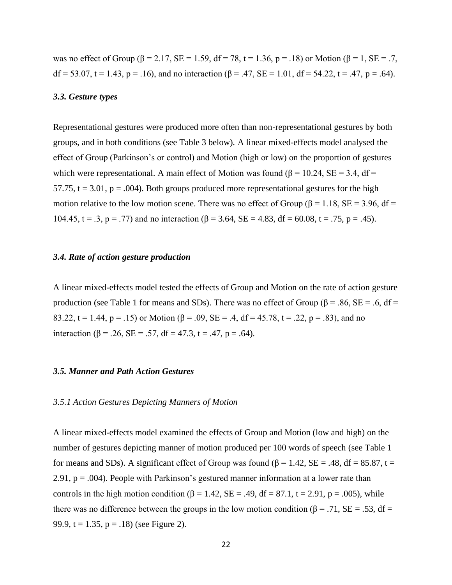was no effect of Group (β = 2.17, SE = 1.59, df = 78, t = 1.36, p = .18) or Motion (β = 1, SE = .7,  $df = 53.07$ ,  $t = 1.43$ ,  $p = .16$ ), and no interaction (β = .47, SE = 1.01, df = 54.22, t = .47, p = .64).

#### *3.3. Gesture types*

Representational gestures were produced more often than non-representational gestures by both groups, and in both conditions (see Table 3 below). A linear mixed-effects model analysed the effect of Group (Parkinson's or control) and Motion (high or low) on the proportion of gestures which were representational. A main effect of Motion was found ( $\beta$  = 10.24, SE = 3.4, df = 57.75,  $t = 3.01$ ,  $p = .004$ ). Both groups produced more representational gestures for the high motion relative to the low motion scene. There was no effect of Group ( $\beta$  = 1.18, SE = 3.96, df = 104.45,  $t = .3$ ,  $p = .77$ ) and no interaction ( $\beta = 3.64$ ,  $SE = 4.83$ ,  $df = 60.08$ ,  $t = .75$ ,  $p = .45$ ).

#### *3.4. Rate of action gesture production*

A linear mixed-effects model tested the effects of Group and Motion on the rate of action gesture production (see Table 1 for means and SDs). There was no effect of Group ( $\beta$  = .86, SE = .6, df = 83.22, t = 1.44, p = .15) or Motion ( $\beta$  = .09, SE = .4, df = 45.78, t = .22, p = .83), and no interaction (β = .26, SE = .57, df = 47.3, t = .47, p = .64).

#### *3.5. Manner and Path Action Gestures*

#### *3.5.1 Action Gestures Depicting Manners of Motion*

A linear mixed-effects model examined the effects of Group and Motion (low and high) on the number of gestures depicting manner of motion produced per 100 words of speech (see Table 1 for means and SDs). A significant effect of Group was found ( $\beta$  = 1.42, SE = .48, df = 85.87, t = 2.91,  $p = .004$ ). People with Parkinson's gestured manner information at a lower rate than controls in the high motion condition ( $\beta$  = 1.42, SE = .49, df = 87.1, t = 2.91, p = .005), while there was no difference between the groups in the low motion condition ( $\beta$  = .71, SE = .53, df = 99.9,  $t = 1.35$ ,  $p = .18$ ) (see Figure 2).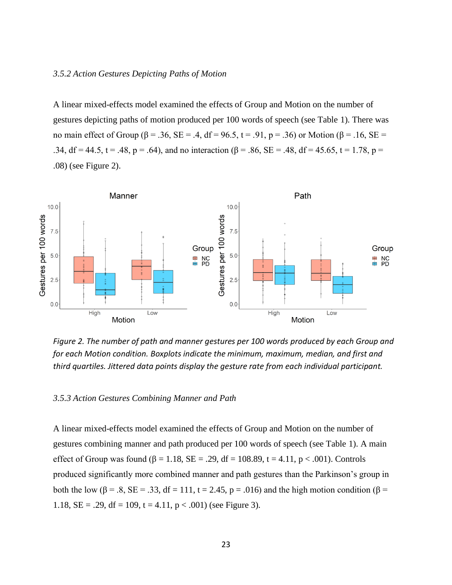#### *3.5.2 Action Gestures Depicting Paths of Motion*

A linear mixed-effects model examined the effects of Group and Motion on the number of gestures depicting paths of motion produced per 100 words of speech (see Table 1). There was no main effect of Group (β = .36, SE = .4, df = 96.5, t = .91, p = .36) or Motion (β = .16, SE = .34, df = 44.5, t = .48, p = .64), and no interaction ( $\beta$  = .86, SE = .48, df = 45.65, t = 1.78, p = .08) (see Figure 2).



*Figure 2. The number of path and manner gestures per 100 words produced by each Group and for each Motion condition. Boxplots indicate the minimum, maximum, median, and first and third quartiles. Jittered data points display the gesture rate from each individual participant.* 

#### *3.5.3 Action Gestures Combining Manner and Path*

A linear mixed-effects model examined the effects of Group and Motion on the number of gestures combining manner and path produced per 100 words of speech (see Table 1). A main effect of Group was found ( $\beta = 1.18$ , SE = .29, df = 108.89, t = 4.11, p < .001). Controls produced significantly more combined manner and path gestures than the Parkinson's group in both the low ( $\beta$  = .8, SE = .33, df = 111, t = 2.45, p = .016) and the high motion condition ( $\beta$  = 1.18,  $SE = .29$ ,  $df = 109$ ,  $t = 4.11$ ,  $p < .001$ ) (see Figure 3).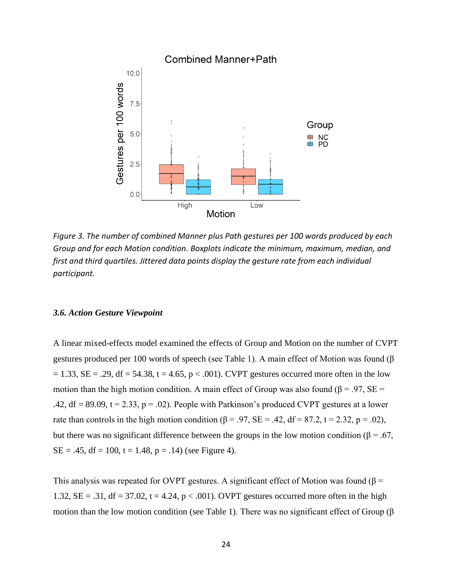

*Figure 3. The number of combined Manner plus Path gestures per 100 words produced by each Group and for each Motion condition. Boxplots indicate the minimum, maximum, median, and first and third quartiles. Jittered data points display the gesture rate from each individual participant.*

### *3.6. Action Gesture Viewpoint*

A linear mixed-effects model examined the effects of Group and Motion on the number of CVPT gestures produced per 100 words of speech (see Table 1). A main effect of Motion was found (β  $= 1.33$ , SE = .29, df = 54.38, t = 4.65, p < .001). CVPT gestures occurred more often in the low motion than the high motion condition. A main effect of Group was also found ( $\beta = .97$ , SE = .42, df = 89.09,  $t = 2.33$ ,  $p = .02$ ). People with Parkinson's produced CVPT gestures at a lower rate than controls in the high motion condition ( $\beta = .97$ , SE = .42, df = 87.2, t = 2.32, p = .02), but there was no significant difference between the groups in the low motion condition ( $\beta = .67$ ,  $SE = .45$ , df = 100, t = 1.48, p = .14) (see Figure 4).

This analysis was repeated for OVPT gestures. A significant effect of Motion was found ( $\beta$  = 1.32,  $SE = .31$ ,  $df = 37.02$ ,  $t = 4.24$ ,  $p < .001$ ). OVPT gestures occurred more often in the high motion than the low motion condition (see Table 1). There was no significant effect of Group (β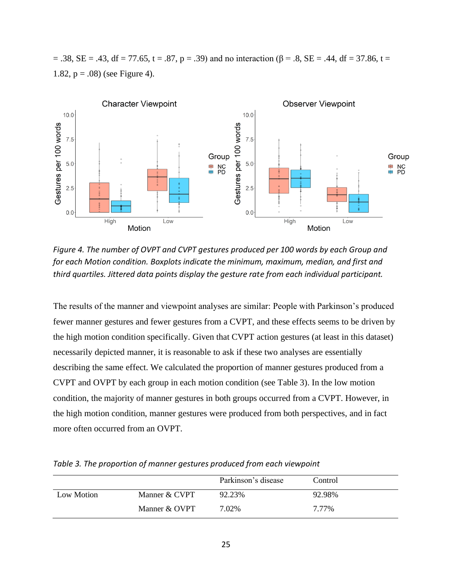$=$  .38, SE = .43, df = 77.65, t = .87, p = .39) and no interaction (β = .8, SE = .44, df = 37.86, t = 1.82,  $p = .08$ ) (see Figure 4).



*Figure 4. The number of OVPT and CVPT gestures produced per 100 words by each Group and for each Motion condition. Boxplots indicate the minimum, maximum, median, and first and third quartiles. Jittered data points display the gesture rate from each individual participant.*

The results of the manner and viewpoint analyses are similar: People with Parkinson's produced fewer manner gestures and fewer gestures from a CVPT, and these effects seems to be driven by the high motion condition specifically. Given that CVPT action gestures (at least in this dataset) necessarily depicted manner, it is reasonable to ask if these two analyses are essentially describing the same effect. We calculated the proportion of manner gestures produced from a CVPT and OVPT by each group in each motion condition (see Table 3). In the low motion condition, the majority of manner gestures in both groups occurred from a CVPT. However, in the high motion condition, manner gestures were produced from both perspectives, and in fact more often occurred from an OVPT.

Parkinson's disease Control Low Motion Manner & CVPT 92.23% 92.98% Manner & OVPT 7.02% 7.77%

*Table 3. The proportion of manner gestures produced from each viewpoint*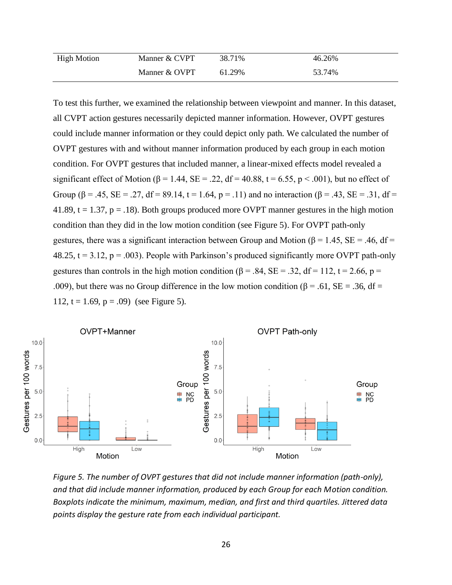| <b>High Motion</b> | Manner & CVPT | 38.71% | 46.26% |  |
|--------------------|---------------|--------|--------|--|
|                    | Manner & OVPT | 61.29% | 53.74% |  |

To test this further, we examined the relationship between viewpoint and manner. In this dataset, all CVPT action gestures necessarily depicted manner information. However, OVPT gestures could include manner information or they could depict only path. We calculated the number of OVPT gestures with and without manner information produced by each group in each motion condition. For OVPT gestures that included manner, a linear-mixed effects model revealed a significant effect of Motion ( $\beta$  = 1.44, SE = .22, df = 40.88, t = 6.55, p < .001), but no effect of Group ( $\beta = .45$ , SE = .27, df = 89.14, t = 1.64, p = .11) and no interaction ( $\beta = .43$ , SE = .31, df = 41.89,  $t = 1.37$ ,  $p = 0.18$ . Both groups produced more OVPT manner gestures in the high motion condition than they did in the low motion condition (see Figure 5). For OVPT path-only gestures, there was a significant interaction between Group and Motion ( $\beta$  = 1.45, SE = .46, df = 48.25,  $t = 3.12$ ,  $p = .003$ ). People with Parkinson's produced significantly more OVPT path-only gestures than controls in the high motion condition ( $\beta$  = .84, SE = .32, df = 112, t = 2.66, p = .009), but there was no Group difference in the low motion condition ( $\beta$  = .61, SE = .36, df = 112,  $t = 1.69$ ,  $p = .09$  (see Figure 5).



*Figure 5. The number of OVPT gestures that did not include manner information (path-only), and that did include manner information, produced by each Group for each Motion condition. Boxplots indicate the minimum, maximum, median, and first and third quartiles. Jittered data points display the gesture rate from each individual participant.*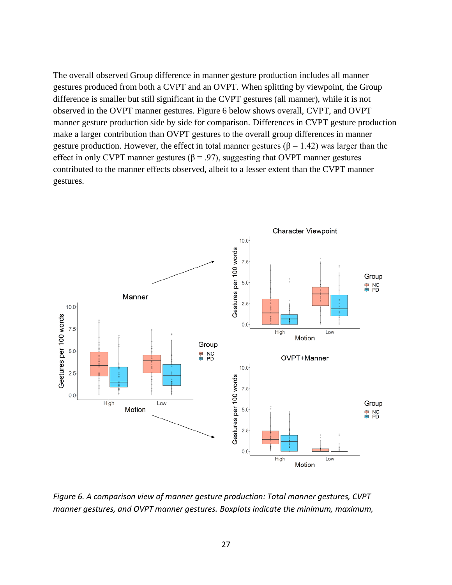The overall observed Group difference in manner gesture production includes all manner gestures produced from both a CVPT and an OVPT. When splitting by viewpoint, the Group difference is smaller but still significant in the CVPT gestures (all manner), while it is not observed in the OVPT manner gestures. Figure 6 below shows overall, CVPT, and OVPT manner gesture production side by side for comparison. Differences in CVPT gesture production make a larger contribution than OVPT gestures to the overall group differences in manner gesture production. However, the effect in total manner gestures ( $\beta$  = 1.42) was larger than the effect in only CVPT manner gestures ( $\beta$  = .97), suggesting that OVPT manner gestures contributed to the manner effects observed, albeit to a lesser extent than the CVPT manner gestures.



*Figure 6. A comparison view of manner gesture production: Total manner gestures, CVPT manner gestures, and OVPT manner gestures. Boxplots indicate the minimum, maximum,*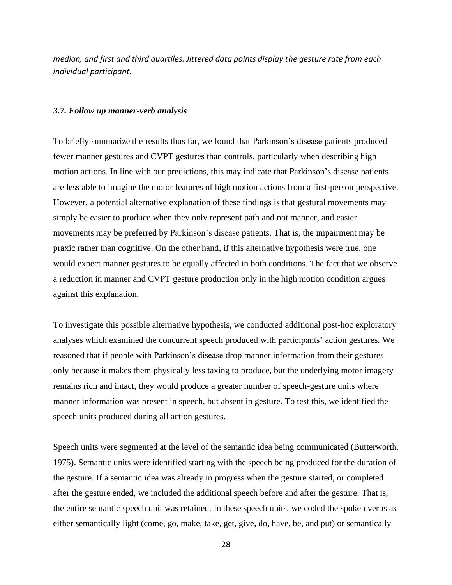*median, and first and third quartiles. Jittered data points display the gesture rate from each individual participant.*

#### *3.7. Follow up manner-verb analysis*

To briefly summarize the results thus far, we found that Parkinson's disease patients produced fewer manner gestures and CVPT gestures than controls, particularly when describing high motion actions. In line with our predictions, this may indicate that Parkinson's disease patients are less able to imagine the motor features of high motion actions from a first-person perspective. However, a potential alternative explanation of these findings is that gestural movements may simply be easier to produce when they only represent path and not manner, and easier movements may be preferred by Parkinson's disease patients. That is, the impairment may be praxic rather than cognitive. On the other hand, if this alternative hypothesis were true, one would expect manner gestures to be equally affected in both conditions. The fact that we observe a reduction in manner and CVPT gesture production only in the high motion condition argues against this explanation.

To investigate this possible alternative hypothesis, we conducted additional post-hoc exploratory analyses which examined the concurrent speech produced with participants' action gestures. We reasoned that if people with Parkinson's disease drop manner information from their gestures only because it makes them physically less taxing to produce, but the underlying motor imagery remains rich and intact, they would produce a greater number of speech-gesture units where manner information was present in speech, but absent in gesture. To test this, we identified the speech units produced during all action gestures.

Speech units were segmented at the level of the semantic idea being communicated (Butterworth, 1975). Semantic units were identified starting with the speech being produced for the duration of the gesture. If a semantic idea was already in progress when the gesture started, or completed after the gesture ended, we included the additional speech before and after the gesture. That is, the entire semantic speech unit was retained. In these speech units, we coded the spoken verbs as either semantically light (come, go, make, take, get, give, do, have, be, and put) or semantically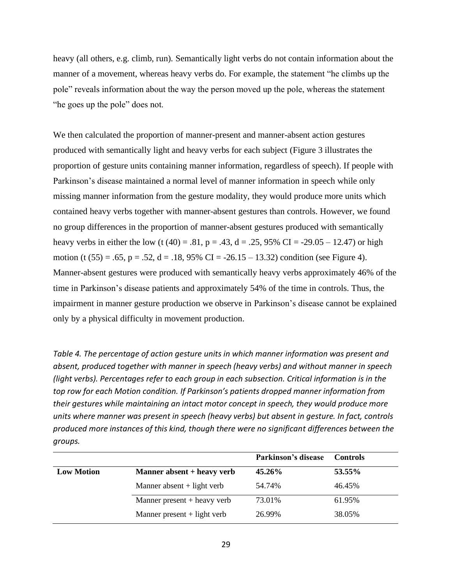heavy (all others, e.g. climb, run). Semantically light verbs do not contain information about the manner of a movement, whereas heavy verbs do. For example, the statement "he climbs up the pole" reveals information about the way the person moved up the pole, whereas the statement "he goes up the pole" does not.

We then calculated the proportion of manner-present and manner-absent action gestures produced with semantically light and heavy verbs for each subject (Figure 3 illustrates the proportion of gesture units containing manner information, regardless of speech). If people with Parkinson's disease maintained a normal level of manner information in speech while only missing manner information from the gesture modality, they would produce more units which contained heavy verbs together with manner-absent gestures than controls. However, we found no group differences in the proportion of manner-absent gestures produced with semantically heavy verbs in either the low (t (40) = .81, p = .43, d = .25, 95% CI = -29.05 – 12.47) or high motion (t  $(55) = .65$ , p = .52, d = .18, 95% CI = -26.15 – 13.32) condition (see Figure 4). Manner-absent gestures were produced with semantically heavy verbs approximately 46% of the time in Parkinson's disease patients and approximately 54% of the time in controls. Thus, the impairment in manner gesture production we observe in Parkinson's disease cannot be explained only by a physical difficulty in movement production.

*Table 4. The percentage of action gesture units in which manner information was present and absent, produced together with manner in speech (heavy verbs) and without manner in speech (light verbs). Percentages refer to each group in each subsection. Critical information is in the top row for each Motion condition. If Parkinson's patients dropped manner information from their gestures while maintaining an intact motor concept in speech, they would produce more units where manner was present in speech (heavy verbs) but absent in gesture. In fact, controls produced more instances of this kind, though there were no significant differences between the groups.*

|                   |                               | Parkinson's disease | <b>Controls</b> |
|-------------------|-------------------------------|---------------------|-----------------|
| <b>Low Motion</b> | Manner absent + heavy verb    | 45.26%              | 53.55%          |
|                   | Manner absent $+$ light verb  | 54.74%              | 46.45%          |
|                   | Manner present $+$ heavy verb | 73.01%              | 61.95%          |
|                   | Manner present $+$ light verb | 26.99%              | 38.05%          |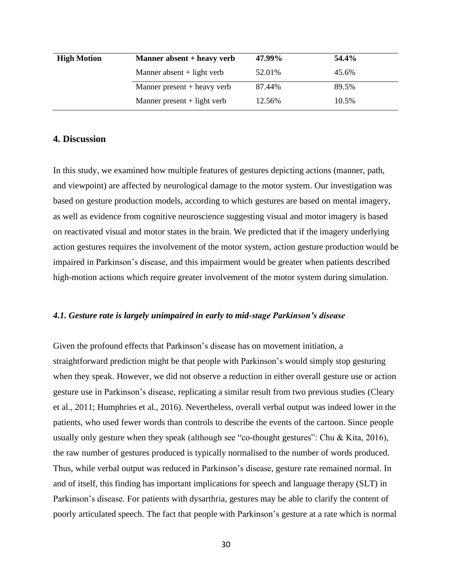| <b>High Motion</b> | Manner absent + heavy verb    | 47.99% | 54.4% |
|--------------------|-------------------------------|--------|-------|
|                    | Manner absent $+$ light verb  | 52.01% | 45.6% |
|                    | Manner present $+$ heavy verb | 87.44% | 89.5% |
|                    | Manner present $+$ light verb | 12.56% | 10.5% |

### **4. Discussion**

In this study, we examined how multiple features of gestures depicting actions (manner, path, and viewpoint) are affected by neurological damage to the motor system. Our investigation was based on gesture production models, according to which gestures are based on mental imagery, as well as evidence from cognitive neuroscience suggesting visual and motor imagery is based on reactivated visual and motor states in the brain. We predicted that if the imagery underlying action gestures requires the involvement of the motor system, action gesture production would be impaired in Parkinson's disease, and this impairment would be greater when patients described high-motion actions which require greater involvement of the motor system during simulation.

#### *4.1. Gesture rate is largely unimpaired in early to mid-stage Parkinson's disease*

Given the profound effects that Parkinson's disease has on movement initiation, a straightforward prediction might be that people with Parkinson's would simply stop gesturing when they speak. However, we did not observe a reduction in either overall gesture use or action gesture use in Parkinson's disease, replicating a similar result from two previous studies (Cleary et al., 2011; Humphries et al., 2016). Nevertheless, overall verbal output was indeed lower in the patients, who used fewer words than controls to describe the events of the cartoon. Since people usually only gesture when they speak (although see "co-thought gestures": Chu & Kita, 2016), the raw number of gestures produced is typically normalised to the number of words produced. Thus, while verbal output was reduced in Parkinson's disease, gesture rate remained normal. In and of itself, this finding has important implications for speech and language therapy (SLT) in Parkinson's disease. For patients with dysarthria, gestures may be able to clarify the content of poorly articulated speech. The fact that people with Parkinson's gesture at a rate which is normal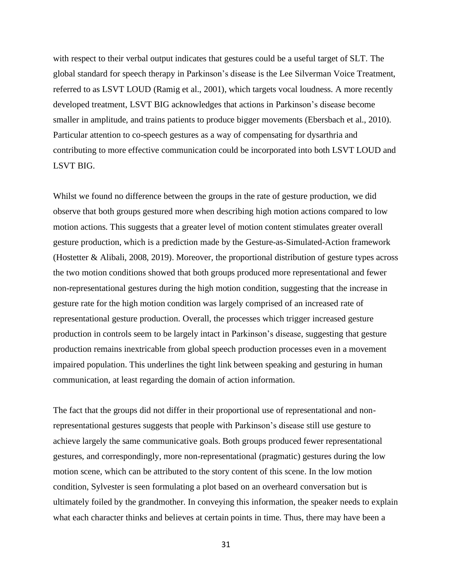with respect to their verbal output indicates that gestures could be a useful target of SLT. The global standard for speech therapy in Parkinson's disease is the Lee Silverman Voice Treatment, referred to as LSVT LOUD (Ramig et al., 2001), which targets vocal loudness. A more recently developed treatment, LSVT BIG acknowledges that actions in Parkinson's disease become smaller in amplitude, and trains patients to produce bigger movements (Ebersbach et al., 2010). Particular attention to co-speech gestures as a way of compensating for dysarthria and contributing to more effective communication could be incorporated into both LSVT LOUD and LSVT BIG.

Whilst we found no difference between the groups in the rate of gesture production, we did observe that both groups gestured more when describing high motion actions compared to low motion actions. This suggests that a greater level of motion content stimulates greater overall gesture production, which is a prediction made by the Gesture-as-Simulated-Action framework (Hostetter & Alibali, 2008, 2019). Moreover, the proportional distribution of gesture types across the two motion conditions showed that both groups produced more representational and fewer non-representational gestures during the high motion condition, suggesting that the increase in gesture rate for the high motion condition was largely comprised of an increased rate of representational gesture production. Overall, the processes which trigger increased gesture production in controls seem to be largely intact in Parkinson's disease, suggesting that gesture production remains inextricable from global speech production processes even in a movement impaired population. This underlines the tight link between speaking and gesturing in human communication, at least regarding the domain of action information.

The fact that the groups did not differ in their proportional use of representational and nonrepresentational gestures suggests that people with Parkinson's disease still use gesture to achieve largely the same communicative goals. Both groups produced fewer representational gestures, and correspondingly, more non-representational (pragmatic) gestures during the low motion scene, which can be attributed to the story content of this scene. In the low motion condition, Sylvester is seen formulating a plot based on an overheard conversation but is ultimately foiled by the grandmother. In conveying this information, the speaker needs to explain what each character thinks and believes at certain points in time. Thus, there may have been a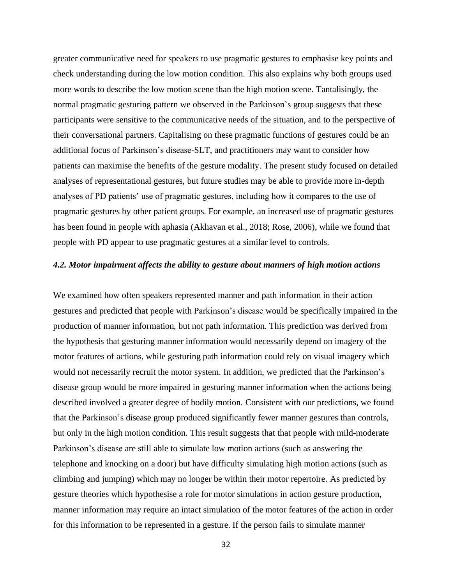greater communicative need for speakers to use pragmatic gestures to emphasise key points and check understanding during the low motion condition. This also explains why both groups used more words to describe the low motion scene than the high motion scene. Tantalisingly, the normal pragmatic gesturing pattern we observed in the Parkinson's group suggests that these participants were sensitive to the communicative needs of the situation, and to the perspective of their conversational partners. Capitalising on these pragmatic functions of gestures could be an additional focus of Parkinson's disease-SLT, and practitioners may want to consider how patients can maximise the benefits of the gesture modality. The present study focused on detailed analyses of representational gestures, but future studies may be able to provide more in-depth analyses of PD patients' use of pragmatic gestures, including how it compares to the use of pragmatic gestures by other patient groups. For example, an increased use of pragmatic gestures has been found in people with aphasia (Akhavan et al., 2018; Rose, 2006), while we found that people with PD appear to use pragmatic gestures at a similar level to controls.

#### *4.2. Motor impairment affects the ability to gesture about manners of high motion actions*

We examined how often speakers represented manner and path information in their action gestures and predicted that people with Parkinson's disease would be specifically impaired in the production of manner information, but not path information. This prediction was derived from the hypothesis that gesturing manner information would necessarily depend on imagery of the motor features of actions, while gesturing path information could rely on visual imagery which would not necessarily recruit the motor system. In addition, we predicted that the Parkinson's disease group would be more impaired in gesturing manner information when the actions being described involved a greater degree of bodily motion. Consistent with our predictions, we found that the Parkinson's disease group produced significantly fewer manner gestures than controls, but only in the high motion condition. This result suggests that that people with mild-moderate Parkinson's disease are still able to simulate low motion actions (such as answering the telephone and knocking on a door) but have difficulty simulating high motion actions (such as climbing and jumping) which may no longer be within their motor repertoire. As predicted by gesture theories which hypothesise a role for motor simulations in action gesture production, manner information may require an intact simulation of the motor features of the action in order for this information to be represented in a gesture. If the person fails to simulate manner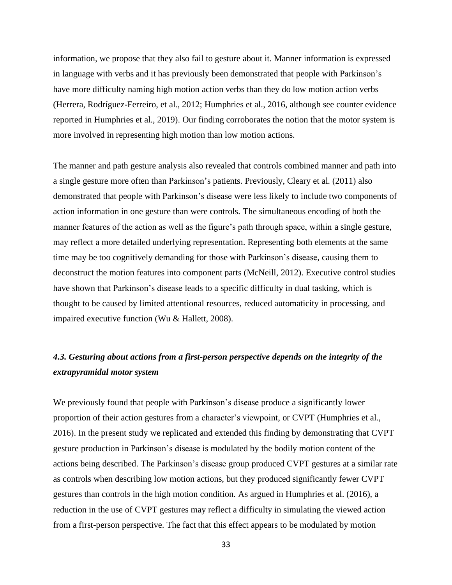information, we propose that they also fail to gesture about it. Manner information is expressed in language with verbs and it has previously been demonstrated that people with Parkinson's have more difficulty naming high motion action verbs than they do low motion action verbs (Herrera, Rodríguez-Ferreiro, et al., 2012; Humphries et al., 2016, although see counter evidence reported in Humphries et al., 2019). Our finding corroborates the notion that the motor system is more involved in representing high motion than low motion actions.

The manner and path gesture analysis also revealed that controls combined manner and path into a single gesture more often than Parkinson's patients. Previously, Cleary et al. (2011) also demonstrated that people with Parkinson's disease were less likely to include two components of action information in one gesture than were controls. The simultaneous encoding of both the manner features of the action as well as the figure's path through space, within a single gesture, may reflect a more detailed underlying representation. Representing both elements at the same time may be too cognitively demanding for those with Parkinson's disease, causing them to deconstruct the motion features into component parts (McNeill, 2012). Executive control studies have shown that Parkinson's disease leads to a specific difficulty in dual tasking, which is thought to be caused by limited attentional resources, reduced automaticity in processing, and impaired executive function (Wu & Hallett, 2008).

# *4.3. Gesturing about actions from a first-person perspective depends on the integrity of the extrapyramidal motor system*

We previously found that people with Parkinson's disease produce a significantly lower proportion of their action gestures from a character's viewpoint, or CVPT (Humphries et al., 2016). In the present study we replicated and extended this finding by demonstrating that CVPT gesture production in Parkinson's disease is modulated by the bodily motion content of the actions being described. The Parkinson's disease group produced CVPT gestures at a similar rate as controls when describing low motion actions, but they produced significantly fewer CVPT gestures than controls in the high motion condition. As argued in Humphries et al. (2016), a reduction in the use of CVPT gestures may reflect a difficulty in simulating the viewed action from a first-person perspective. The fact that this effect appears to be modulated by motion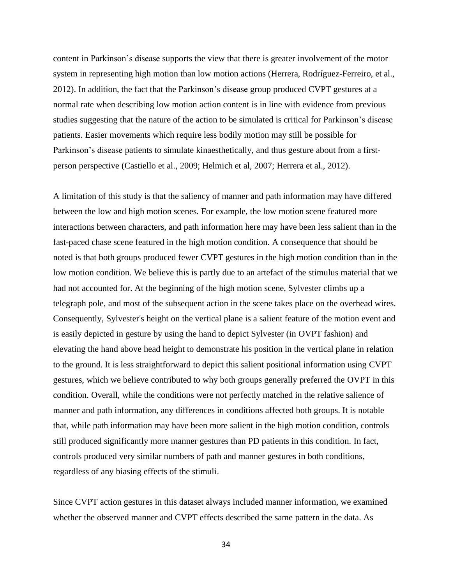content in Parkinson's disease supports the view that there is greater involvement of the motor system in representing high motion than low motion actions (Herrera, Rodríguez-Ferreiro, et al., 2012). In addition, the fact that the Parkinson's disease group produced CVPT gestures at a normal rate when describing low motion action content is in line with evidence from previous studies suggesting that the nature of the action to be simulated is critical for Parkinson's disease patients. Easier movements which require less bodily motion may still be possible for Parkinson's disease patients to simulate kinaesthetically, and thus gesture about from a firstperson perspective (Castiello et al., 2009; Helmich et al, 2007; Herrera et al., 2012).

A limitation of this study is that the saliency of manner and path information may have differed between the low and high motion scenes. For example, the low motion scene featured more interactions between characters, and path information here may have been less salient than in the fast-paced chase scene featured in the high motion condition. A consequence that should be noted is that both groups produced fewer CVPT gestures in the high motion condition than in the low motion condition. We believe this is partly due to an artefact of the stimulus material that we had not accounted for. At the beginning of the high motion scene, Sylvester climbs up a telegraph pole, and most of the subsequent action in the scene takes place on the overhead wires. Consequently, Sylvester's height on the vertical plane is a salient feature of the motion event and is easily depicted in gesture by using the hand to depict Sylvester (in OVPT fashion) and elevating the hand above head height to demonstrate his position in the vertical plane in relation to the ground. It is less straightforward to depict this salient positional information using CVPT gestures, which we believe contributed to why both groups generally preferred the OVPT in this condition. Overall, while the conditions were not perfectly matched in the relative salience of manner and path information, any differences in conditions affected both groups. It is notable that, while path information may have been more salient in the high motion condition, controls still produced significantly more manner gestures than PD patients in this condition. In fact, controls produced very similar numbers of path and manner gestures in both conditions, regardless of any biasing effects of the stimuli.

Since CVPT action gestures in this dataset always included manner information, we examined whether the observed manner and CVPT effects described the same pattern in the data. As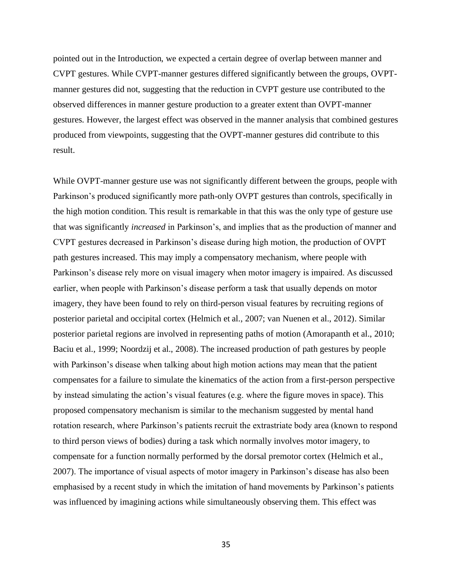pointed out in the Introduction, we expected a certain degree of overlap between manner and CVPT gestures. While CVPT-manner gestures differed significantly between the groups, OVPTmanner gestures did not, suggesting that the reduction in CVPT gesture use contributed to the observed differences in manner gesture production to a greater extent than OVPT-manner gestures. However, the largest effect was observed in the manner analysis that combined gestures produced from viewpoints, suggesting that the OVPT-manner gestures did contribute to this result.

While OVPT-manner gesture use was not significantly different between the groups, people with Parkinson's produced significantly more path-only OVPT gestures than controls, specifically in the high motion condition. This result is remarkable in that this was the only type of gesture use that was significantly *increased* in Parkinson's, and implies that as the production of manner and CVPT gestures decreased in Parkinson's disease during high motion, the production of OVPT path gestures increased. This may imply a compensatory mechanism, where people with Parkinson's disease rely more on visual imagery when motor imagery is impaired. As discussed earlier, when people with Parkinson's disease perform a task that usually depends on motor imagery, they have been found to rely on third-person visual features by recruiting regions of posterior parietal and occipital cortex (Helmich et al., 2007; van Nuenen et al., 2012). Similar posterior parietal regions are involved in representing paths of motion (Amorapanth et al., 2010; Baciu et al., 1999; Noordzij et al., 2008). The increased production of path gestures by people with Parkinson's disease when talking about high motion actions may mean that the patient compensates for a failure to simulate the kinematics of the action from a first-person perspective by instead simulating the action's visual features (e.g. where the figure moves in space). This proposed compensatory mechanism is similar to the mechanism suggested by mental hand rotation research, where Parkinson's patients recruit the extrastriate body area (known to respond to third person views of bodies) during a task which normally involves motor imagery, to compensate for a function normally performed by the dorsal premotor cortex (Helmich et al., 2007). The importance of visual aspects of motor imagery in Parkinson's disease has also been emphasised by a recent study in which the imitation of hand movements by Parkinson's patients was influenced by imagining actions while simultaneously observing them. This effect was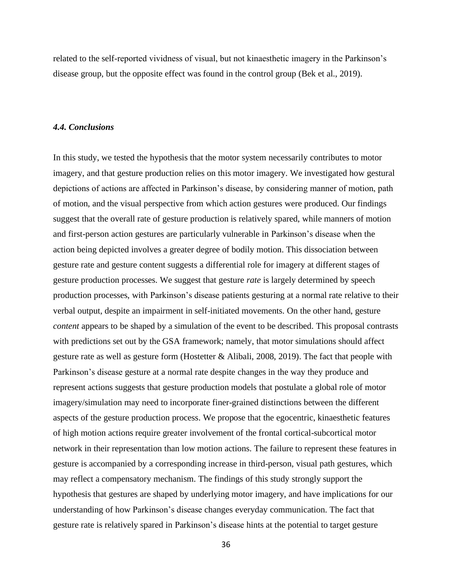related to the self-reported vividness of visual, but not kinaesthetic imagery in the Parkinson's disease group, but the opposite effect was found in the control group (Bek et al., 2019).

#### *4.4. Conclusions*

In this study, we tested the hypothesis that the motor system necessarily contributes to motor imagery, and that gesture production relies on this motor imagery. We investigated how gestural depictions of actions are affected in Parkinson's disease, by considering manner of motion, path of motion, and the visual perspective from which action gestures were produced. Our findings suggest that the overall rate of gesture production is relatively spared, while manners of motion and first-person action gestures are particularly vulnerable in Parkinson's disease when the action being depicted involves a greater degree of bodily motion. This dissociation between gesture rate and gesture content suggests a differential role for imagery at different stages of gesture production processes. We suggest that gesture *rate* is largely determined by speech production processes, with Parkinson's disease patients gesturing at a normal rate relative to their verbal output, despite an impairment in self-initiated movements. On the other hand, gesture *content* appears to be shaped by a simulation of the event to be described. This proposal contrasts with predictions set out by the GSA framework; namely, that motor simulations should affect gesture rate as well as gesture form (Hostetter & Alibali, 2008, 2019). The fact that people with Parkinson's disease gesture at a normal rate despite changes in the way they produce and represent actions suggests that gesture production models that postulate a global role of motor imagery/simulation may need to incorporate finer-grained distinctions between the different aspects of the gesture production process. We propose that the egocentric, kinaesthetic features of high motion actions require greater involvement of the frontal cortical-subcortical motor network in their representation than low motion actions. The failure to represent these features in gesture is accompanied by a corresponding increase in third-person, visual path gestures, which may reflect a compensatory mechanism. The findings of this study strongly support the hypothesis that gestures are shaped by underlying motor imagery, and have implications for our understanding of how Parkinson's disease changes everyday communication. The fact that gesture rate is relatively spared in Parkinson's disease hints at the potential to target gesture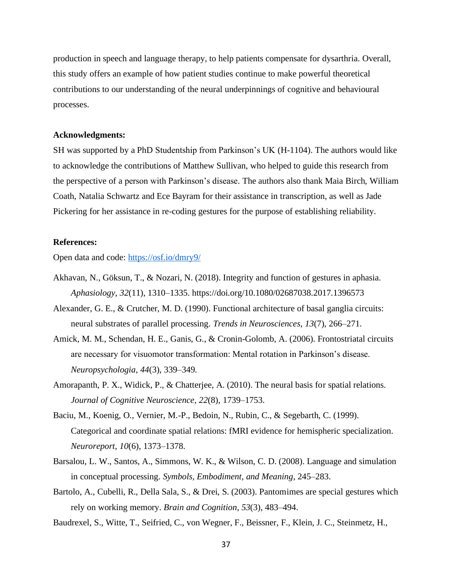production in speech and language therapy, to help patients compensate for dysarthria. Overall, this study offers an example of how patient studies continue to make powerful theoretical contributions to our understanding of the neural underpinnings of cognitive and behavioural processes.

### **Acknowledgments:**

SH was supported by a PhD Studentship from Parkinson's UK (H-1104). The authors would like to acknowledge the contributions of Matthew Sullivan, who helped to guide this research from the perspective of a person with Parkinson's disease. The authors also thank Maia Birch, William Coath, Natalia Schwartz and Ece Bayram for their assistance in transcription, as well as Jade Pickering for her assistance in re-coding gestures for the purpose of establishing reliability.

#### **References:**

Open data and code: <https://osf.io/dmry9/>

- Akhavan, N., Göksun, T., & Nozari, N. (2018). Integrity and function of gestures in aphasia. *Aphasiology*, *32*(11), 1310–1335. https://doi.org/10.1080/02687038.2017.1396573
- Alexander, G. E., & Crutcher, M. D. (1990). Functional architecture of basal ganglia circuits: neural substrates of parallel processing. *Trends in Neurosciences*, *13*(7), 266–271.
- Amick, M. M., Schendan, H. E., Ganis, G., & Cronin-Golomb, A. (2006). Frontostriatal circuits are necessary for visuomotor transformation: Mental rotation in Parkinson's disease. *Neuropsychologia*, *44*(3), 339–349.
- Amorapanth, P. X., Widick, P., & Chatterjee, A. (2010). The neural basis for spatial relations. *Journal of Cognitive Neuroscience*, *22*(8), 1739–1753.
- Baciu, M., Koenig, O., Vernier, M.-P., Bedoin, N., Rubin, C., & Segebarth, C. (1999). Categorical and coordinate spatial relations: fMRI evidence for hemispheric specialization. *Neuroreport*, *10*(6), 1373–1378.
- Barsalou, L. W., Santos, A., Simmons, W. K., & Wilson, C. D. (2008). Language and simulation in conceptual processing. *Symbols, Embodiment, and Meaning*, 245–283.
- Bartolo, A., Cubelli, R., Della Sala, S., & Drei, S. (2003). Pantomimes are special gestures which rely on working memory. *Brain and Cognition*, *53*(3), 483–494.
- Baudrexel, S., Witte, T., Seifried, C., von Wegner, F., Beissner, F., Klein, J. C., Steinmetz, H.,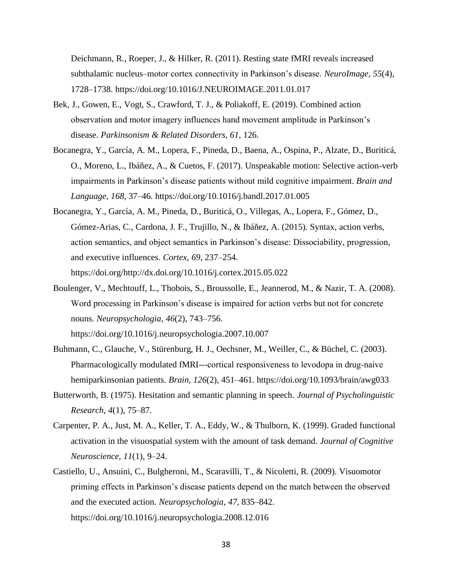Deichmann, R., Roeper, J., & Hilker, R. (2011). Resting state fMRI reveals increased subthalamic nucleus–motor cortex connectivity in Parkinson's disease. *NeuroImage*, *55*(4), 1728–1738. https://doi.org/10.1016/J.NEUROIMAGE.2011.01.017

- Bek, J., Gowen, E., Vogt, S., Crawford, T. J., & Poliakoff, E. (2019). Combined action observation and motor imagery influences hand movement amplitude in Parkinson's disease. *Parkinsonism & Related Disorders*, *61*, 126.
- Bocanegra, Y., García, A. M., Lopera, F., Pineda, D., Baena, A., Ospina, P., Alzate, D., Buriticá, O., Moreno, L., Ibáñez, A., & Cuetos, F. (2017). Unspeakable motion: Selective action-verb impairments in Parkinson's disease patients without mild cognitive impairment. *Brain and Language*, *168*, 37–46. https://doi.org/10.1016/j.bandl.2017.01.005
- Bocanegra, Y., García, A. M., Pineda, D., Buriticá, O., Villegas, A., Lopera, F., Gómez, D., Gómez-Arias, C., Cardona, J. F., Trujillo, N., & Ibáñez, A. (2015). Syntax, action verbs, action semantics, and object semantics in Parkinson's disease: Dissociability, progression, and executive influences. *Cortex*, *69*, 237–254. https://doi.org/http://dx.doi.org/10.1016/j.cortex.2015.05.022
- Boulenger, V., Mechtouff, L., Thobois, S., Broussolle, E., Jeannerod, M., & Nazir, T. A. (2008). Word processing in Parkinson's disease is impaired for action verbs but not for concrete nouns. *Neuropsychologia*, *46*(2), 743–756.

https://doi.org/10.1016/j.neuropsychologia.2007.10.007

- Buhmann, C., Glauche, V., Stürenburg, H. J., Oechsner, M., Weiller, C., & Büchel, C. (2003). Pharmacologically modulated fMRI---cortical responsiveness to levodopa in drug‐naive hemiparkinsonian patients. *Brain*, *126*(2), 451–461. https://doi.org/10.1093/brain/awg033
- Butterworth, B. (1975). Hesitation and semantic planning in speech. *Journal of Psycholinguistic Research*, *4*(1), 75–87.
- Carpenter, P. A., Just, M. A., Keller, T. A., Eddy, W., & Thulborn, K. (1999). Graded functional activation in the visuospatial system with the amount of task demand. *Journal of Cognitive Neuroscience*, *11*(1), 9–24.
- Castiello, U., Ansuini, C., Bulgheroni, M., Scaravilli, T., & Nicoletti, R. (2009). Visuomotor priming effects in Parkinson's disease patients depend on the match between the observed and the executed action. *Neuropsychologia*, *47*, 835–842. https://doi.org/10.1016/j.neuropsychologia.2008.12.016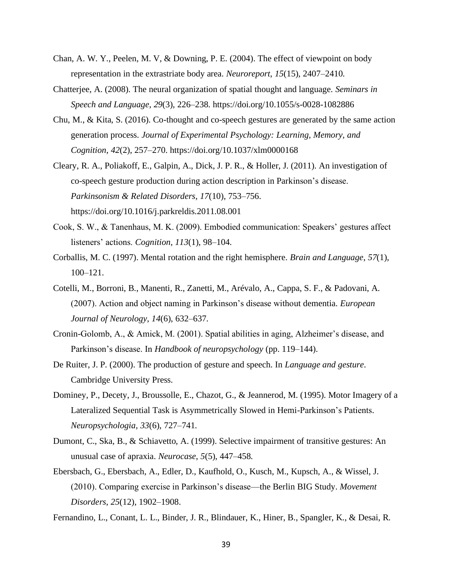- Chan, A. W. Y., Peelen, M. V, & Downing, P. E. (2004). The effect of viewpoint on body representation in the extrastriate body area. *Neuroreport*, *15*(15), 2407–2410.
- Chatterjee, A. (2008). The neural organization of spatial thought and language. *Seminars in Speech and Language*, *29*(3), 226–238. https://doi.org/10.1055/s-0028-1082886
- Chu, M., & Kita, S. (2016). Co-thought and co-speech gestures are generated by the same action generation process. *Journal of Experimental Psychology: Learning, Memory, and Cognition*, *42*(2), 257–270. https://doi.org/10.1037/xlm0000168
- Cleary, R. A., Poliakoff, E., Galpin, A., Dick, J. P. R., & Holler, J. (2011). An investigation of co-speech gesture production during action description in Parkinson's disease. *Parkinsonism & Related Disorders*, *17*(10), 753–756. https://doi.org/10.1016/j.parkreldis.2011.08.001
- Cook, S. W., & Tanenhaus, M. K. (2009). Embodied communication: Speakers' gestures affect listeners' actions. *Cognition*, *113*(1), 98–104.
- Corballis, M. C. (1997). Mental rotation and the right hemisphere. *Brain and Language*, *57*(1), 100–121.
- Cotelli, M., Borroni, B., Manenti, R., Zanetti, M., Arévalo, A., Cappa, S. F., & Padovani, A. (2007). Action and object naming in Parkinson's disease without dementia. *European Journal of Neurology*, *14*(6), 632–637.
- Cronin-Golomb, A., & Amick, M. (2001). Spatial abilities in aging, Alzheimer's disease, and Parkinson's disease. In *Handbook of neuropsychology* (pp. 119–144).
- De Ruiter, J. P. (2000). The production of gesture and speech. In *Language and gesture*. Cambridge University Press.
- Dominey, P., Decety, J., Broussolle, E., Chazot, G., & Jeannerod, M. (1995). Motor Imagery of a Lateralized Sequential Task is Asymmetrically Slowed in Hemi-Parkinson's Patients. *Neuropsychologia*, *33*(6), 727–741.
- Dumont, C., Ska, B., & Schiavetto, A. (1999). Selective impairment of transitive gestures: An unusual case of apraxia. *Neurocase*, *5*(5), 447–458.
- Ebersbach, G., Ebersbach, A., Edler, D., Kaufhold, O., Kusch, M., Kupsch, A., & Wissel, J. (2010). Comparing exercise in Parkinson's disease—the Berlin BIG Study. *Movement Disorders*, *25*(12), 1902–1908.
- Fernandino, L., Conant, L. L., Binder, J. R., Blindauer, K., Hiner, B., Spangler, K., & Desai, R.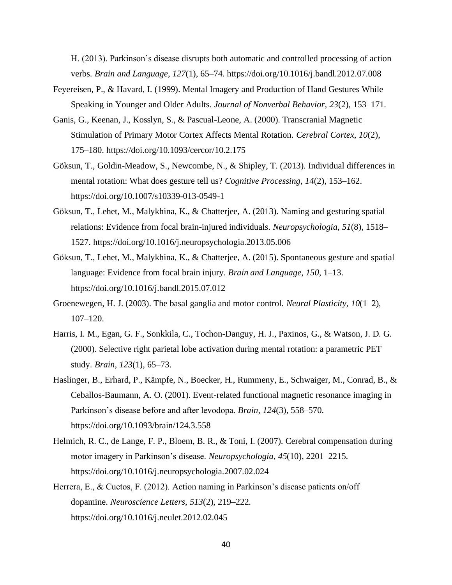H. (2013). Parkinson's disease disrupts both automatic and controlled processing of action verbs. *Brain and Language*, *127*(1), 65–74. https://doi.org/10.1016/j.bandl.2012.07.008

- Feyereisen, P., & Havard, I. (1999). Mental Imagery and Production of Hand Gestures While Speaking in Younger and Older Adults. *Journal of Nonverbal Behavior*, *23*(2), 153–171.
- Ganis, G., Keenan, J., Kosslyn, S., & Pascual-Leone, A. (2000). Transcranial Magnetic Stimulation of Primary Motor Cortex Affects Mental Rotation. *Cerebral Cortex*, *10*(2), 175–180. https://doi.org/10.1093/cercor/10.2.175
- Göksun, T., Goldin-Meadow, S., Newcombe, N., & Shipley, T. (2013). Individual differences in mental rotation: What does gesture tell us? *Cognitive Processing*, *14*(2), 153–162. https://doi.org/10.1007/s10339-013-0549-1
- Göksun, T., Lehet, M., Malykhina, K., & Chatterjee, A. (2013). Naming and gesturing spatial relations: Evidence from focal brain-injured individuals. *Neuropsychologia*, *51*(8), 1518– 1527. https://doi.org/10.1016/j.neuropsychologia.2013.05.006
- Göksun, T., Lehet, M., Malykhina, K., & Chatterjee, A. (2015). Spontaneous gesture and spatial language: Evidence from focal brain injury. *Brain and Language*, *150*, 1–13. https://doi.org/10.1016/j.bandl.2015.07.012
- Groenewegen, H. J. (2003). The basal ganglia and motor control. *Neural Plasticity*, *10*(1–2), 107–120.
- Harris, I. M., Egan, G. F., Sonkkila, C., Tochon-Danguy, H. J., Paxinos, G., & Watson, J. D. G. (2000). Selective right parietal lobe activation during mental rotation: a parametric PET study. *Brain*, *123*(1), 65–73.
- Haslinger, B., Erhard, P., Kämpfe, N., Boecker, H., Rummeny, E., Schwaiger, M., Conrad, B., & Ceballos-Baumann, A. O. (2001). Event-related functional magnetic resonance imaging in Parkinson's disease before and after levodopa. *Brain*, *124*(3), 558–570. https://doi.org/10.1093/brain/124.3.558
- Helmich, R. C., de Lange, F. P., Bloem, B. R., & Toni, I. (2007). Cerebral compensation during motor imagery in Parkinson's disease. *Neuropsychologia*, *45*(10), 2201–2215. https://doi.org/10.1016/j.neuropsychologia.2007.02.024
- Herrera, E., & Cuetos, F. (2012). Action naming in Parkinson's disease patients on/off dopamine. *Neuroscience Letters*, *513*(2), 219–222. https://doi.org/10.1016/j.neulet.2012.02.045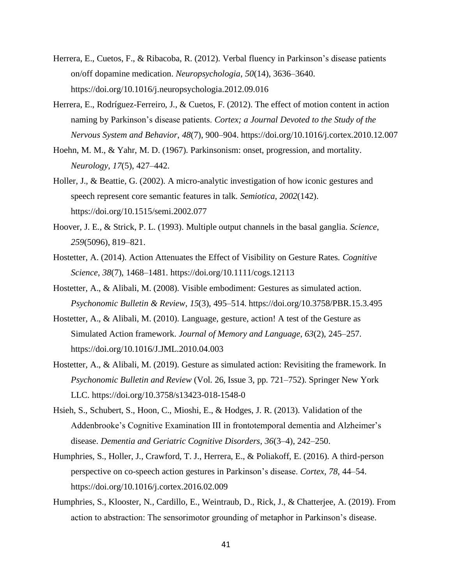- Herrera, E., Cuetos, F., & Ribacoba, R. (2012). Verbal fluency in Parkinson's disease patients on/off dopamine medication. *Neuropsychologia*, *50*(14), 3636–3640. https://doi.org/10.1016/j.neuropsychologia.2012.09.016
- Herrera, E., Rodríguez-Ferreiro, J., & Cuetos, F. (2012). The effect of motion content in action naming by Parkinson's disease patients. *Cortex; a Journal Devoted to the Study of the Nervous System and Behavior*, *48*(7), 900–904. https://doi.org/10.1016/j.cortex.2010.12.007
- Hoehn, M. M., & Yahr, M. D. (1967). Parkinsonism: onset, progression, and mortality. *Neurology*, *17*(5), 427–442.
- Holler, J., & Beattie, G. (2002). A micro-analytic investigation of how iconic gestures and speech represent core semantic features in talk. *Semiotica*, *2002*(142). https://doi.org/10.1515/semi.2002.077
- Hoover, J. E., & Strick, P. L. (1993). Multiple output channels in the basal ganglia. *Science*, *259*(5096), 819–821.
- Hostetter, A. (2014). Action Attenuates the Effect of Visibility on Gesture Rates. *Cognitive Science*, *38*(7), 1468–1481. https://doi.org/10.1111/cogs.12113
- Hostetter, A., & Alibali, M. (2008). Visible embodiment: Gestures as simulated action. *Psychonomic Bulletin & Review*, *15*(3), 495–514. https://doi.org/10.3758/PBR.15.3.495
- Hostetter, A., & Alibali, M. (2010). Language, gesture, action! A test of the Gesture as Simulated Action framework. *Journal of Memory and Language*, *63*(2), 245–257. https://doi.org/10.1016/J.JML.2010.04.003
- Hostetter, A., & Alibali, M. (2019). Gesture as simulated action: Revisiting the framework. In *Psychonomic Bulletin and Review* (Vol. 26, Issue 3, pp. 721–752). Springer New York LLC. https://doi.org/10.3758/s13423-018-1548-0
- Hsieh, S., Schubert, S., Hoon, C., Mioshi, E., & Hodges, J. R. (2013). Validation of the Addenbrooke's Cognitive Examination III in frontotemporal dementia and Alzheimer's disease. *Dementia and Geriatric Cognitive Disorders*, *36*(3–4), 242–250.
- Humphries, S., Holler, J., Crawford, T. J., Herrera, E., & Poliakoff, E. (2016). A third-person perspective on co-speech action gestures in Parkinson's disease. *Cortex*, *78*, 44–54. https://doi.org/10.1016/j.cortex.2016.02.009
- Humphries, S., Klooster, N., Cardillo, E., Weintraub, D., Rick, J., & Chatterjee, A. (2019). From action to abstraction: The sensorimotor grounding of metaphor in Parkinson's disease.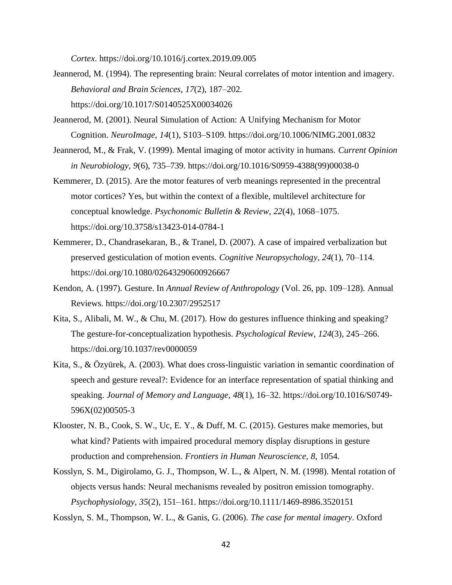*Cortex*. https://doi.org/10.1016/j.cortex.2019.09.005

- Jeannerod, M. (1994). The representing brain: Neural correlates of motor intention and imagery. *Behavioral and Brain Sciences*, *17*(2), 187–202. https://doi.org/10.1017/S0140525X00034026
- Jeannerod, M. (2001). Neural Simulation of Action: A Unifying Mechanism for Motor Cognition. *NeuroImage*, *14*(1), S103–S109. https://doi.org/10.1006/NIMG.2001.0832
- Jeannerod, M., & Frak, V. (1999). Mental imaging of motor activity in humans. *Current Opinion in Neurobiology*, *9*(6), 735–739. https://doi.org/10.1016/S0959-4388(99)00038-0
- Kemmerer, D. (2015). Are the motor features of verb meanings represented in the precentral motor cortices? Yes, but within the context of a flexible, multilevel architecture for conceptual knowledge. *Psychonomic Bulletin & Review*, *22*(4), 1068–1075. https://doi.org/10.3758/s13423-014-0784-1
- Kemmerer, D., Chandrasekaran, B., & Tranel, D. (2007). A case of impaired verbalization but preserved gesticulation of motion events. *Cognitive Neuropsychology*, *24*(1), 70–114. https://doi.org/10.1080/02643290600926667
- Kendon, A. (1997). Gesture. In *Annual Review of Anthropology* (Vol. 26, pp. 109–128). Annual Reviews. https://doi.org/10.2307/2952517
- Kita, S., Alibali, M. W., & Chu, M. (2017). How do gestures influence thinking and speaking? The gesture-for-conceptualization hypothesis. *Psychological Review*, *124*(3), 245–266. https://doi.org/10.1037/rev0000059
- Kita, S., & Özyürek, A. (2003). What does cross-linguistic variation in semantic coordination of speech and gesture reveal?: Evidence for an interface representation of spatial thinking and speaking. *Journal of Memory and Language*, *48*(1), 16–32. https://doi.org/10.1016/S0749- 596X(02)00505-3
- Klooster, N. B., Cook, S. W., Uc, E. Y., & Duff, M. C. (2015). Gestures make memories, but what kind? Patients with impaired procedural memory display disruptions in gesture production and comprehension. *Frontiers in Human Neuroscience*, *8*, 1054.
- Kosslyn, S. M., Digirolamo, G. J., Thompson, W. L., & Alpert, N. M. (1998). Mental rotation of objects versus hands: Neural mechanisms revealed by positron emission tomography. *Psychophysiology*, *35*(2), 151–161. https://doi.org/10.1111/1469-8986.3520151

Kosslyn, S. M., Thompson, W. L., & Ganis, G. (2006). *The case for mental imagery*. Oxford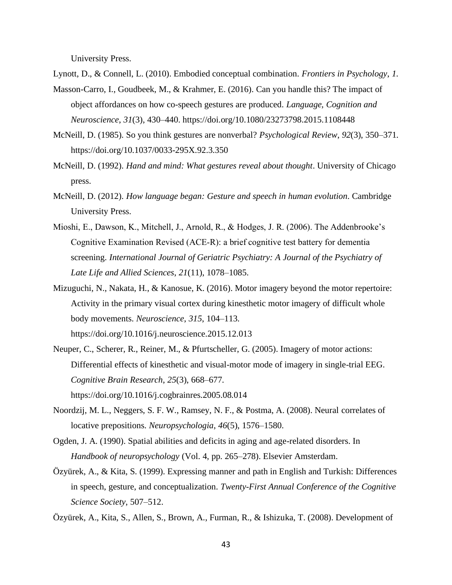University Press.

Lynott, D., & Connell, L. (2010). Embodied conceptual combination. *Frontiers in Psychology*, *1*.

- Masson-Carro, I., Goudbeek, M., & Krahmer, E. (2016). Can you handle this? The impact of object affordances on how co-speech gestures are produced. *Language, Cognition and Neuroscience*, *31*(3), 430–440. https://doi.org/10.1080/23273798.2015.1108448
- McNeill, D. (1985). So you think gestures are nonverbal? *Psychological Review*, *92*(3), 350–371. https://doi.org/10.1037/0033-295X.92.3.350
- McNeill, D. (1992). *Hand and mind: What gestures reveal about thought*. University of Chicago press.
- McNeill, D. (2012). *How language began: Gesture and speech in human evolution*. Cambridge University Press.
- Mioshi, E., Dawson, K., Mitchell, J., Arnold, R., & Hodges, J. R. (2006). The Addenbrooke's Cognitive Examination Revised (ACE‐R): a brief cognitive test battery for dementia screening. *International Journal of Geriatric Psychiatry: A Journal of the Psychiatry of Late Life and Allied Sciences*, *21*(11), 1078–1085.
- Mizuguchi, N., Nakata, H., & Kanosue, K. (2016). Motor imagery beyond the motor repertoire: Activity in the primary visual cortex during kinesthetic motor imagery of difficult whole body movements. *Neuroscience*, *315*, 104–113. https://doi.org/10.1016/j.neuroscience.2015.12.013
- Neuper, C., Scherer, R., Reiner, M., & Pfurtscheller, G. (2005). Imagery of motor actions: Differential effects of kinesthetic and visual-motor mode of imagery in single-trial EEG. *Cognitive Brain Research*, *25*(3), 668–677. https://doi.org/10.1016/j.cogbrainres.2005.08.014
- Noordzij, M. L., Neggers, S. F. W., Ramsey, N. F., & Postma, A. (2008). Neural correlates of locative prepositions. *Neuropsychologia*, *46*(5), 1576–1580.
- Ogden, J. A. (1990). Spatial abilities and deficits in aging and age-related disorders. In *Handbook of neuropsychology* (Vol. 4, pp. 265–278). Elsevier Amsterdam.
- Özyürek, A., & Kita, S. (1999). Expressing manner and path in English and Turkish: Differences in speech, gesture, and conceptualization. *Twenty-First Annual Conference of the Cognitive Science Society*, 507–512.
- Özyürek, A., Kita, S., Allen, S., Brown, A., Furman, R., & Ishizuka, T. (2008). Development of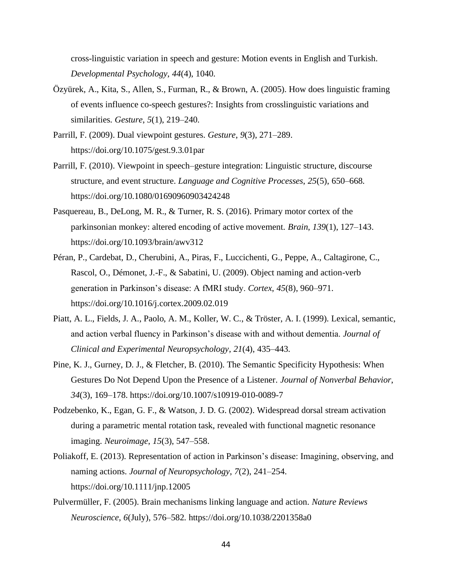cross-linguistic variation in speech and gesture: Motion events in English and Turkish. *Developmental Psychology*, *44*(4), 1040.

- Özyürek, A., Kita, S., Allen, S., Furman, R., & Brown, A. (2005). How does linguistic framing of events influence co-speech gestures?: Insights from crosslinguistic variations and similarities. *Gesture*, *5*(1), 219–240.
- Parrill, F. (2009). Dual viewpoint gestures. *Gesture*, *9*(3), 271–289. https://doi.org/10.1075/gest.9.3.01par
- Parrill, F. (2010). Viewpoint in speech–gesture integration: Linguistic structure, discourse structure, and event structure. *Language and Cognitive Processes*, *25*(5), 650–668. https://doi.org/10.1080/01690960903424248
- Pasquereau, B., DeLong, M. R., & Turner, R. S. (2016). Primary motor cortex of the parkinsonian monkey: altered encoding of active movement. *Brain*, *139*(1), 127–143. https://doi.org/10.1093/brain/awv312
- Péran, P., Cardebat, D., Cherubini, A., Piras, F., Luccichenti, G., Peppe, A., Caltagirone, C., Rascol, O., Démonet, J.-F., & Sabatini, U. (2009). Object naming and action-verb generation in Parkinson's disease: A fMRI study. *Cortex*, *45*(8), 960–971. https://doi.org/10.1016/j.cortex.2009.02.019
- Piatt, A. L., Fields, J. A., Paolo, A. M., Koller, W. C., & Tröster, A. I. (1999). Lexical, semantic, and action verbal fluency in Parkinson's disease with and without dementia. *Journal of Clinical and Experimental Neuropsychology*, *21*(4), 435–443.
- Pine, K. J., Gurney, D. J., & Fletcher, B. (2010). The Semantic Specificity Hypothesis: When Gestures Do Not Depend Upon the Presence of a Listener. *Journal of Nonverbal Behavior*, *34*(3), 169–178. https://doi.org/10.1007/s10919-010-0089-7
- Podzebenko, K., Egan, G. F., & Watson, J. D. G. (2002). Widespread dorsal stream activation during a parametric mental rotation task, revealed with functional magnetic resonance imaging. *Neuroimage*, *15*(3), 547–558.
- Poliakoff, E. (2013). Representation of action in Parkinson's disease: Imagining, observing, and naming actions. *Journal of Neuropsychology*, *7*(2), 241–254. https://doi.org/10.1111/jnp.12005
- Pulvermüller, F. (2005). Brain mechanisms linking language and action. *Nature Reviews Neuroscience*, *6*(July), 576–582. https://doi.org/10.1038/2201358a0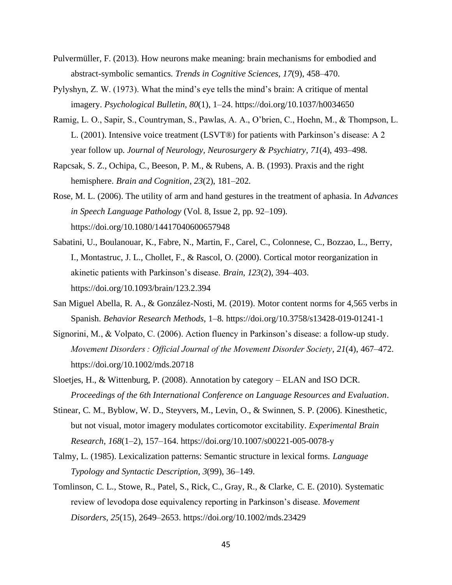- Pulvermüller, F. (2013). How neurons make meaning: brain mechanisms for embodied and abstract-symbolic semantics. *Trends in Cognitive Sciences*, *17*(9), 458–470.
- Pylyshyn, Z. W. (1973). What the mind's eye tells the mind's brain: A critique of mental imagery. *Psychological Bulletin*, *80*(1), 1–24. https://doi.org/10.1037/h0034650
- Ramig, L. O., Sapir, S., Countryman, S., Pawlas, A. A., O'brien, C., Hoehn, M., & Thompson, L. L. (2001). Intensive voice treatment (LSVT®) for patients with Parkinson's disease: A 2 year follow up. *Journal of Neurology, Neurosurgery & Psychiatry*, *71*(4), 493–498.
- Rapcsak, S. Z., Ochipa, C., Beeson, P. M., & Rubens, A. B. (1993). Praxis and the right hemisphere. *Brain and Cognition*, *23*(2), 181–202.
- Rose, M. L. (2006). The utility of arm and hand gestures in the treatment of aphasia. In *Advances in Speech Language Pathology* (Vol. 8, Issue 2, pp. 92–109). https://doi.org/10.1080/14417040600657948
- Sabatini, U., Boulanouar, K., Fabre, N., Martin, F., Carel, C., Colonnese, C., Bozzao, L., Berry, I., Montastruc, J. L., Chollet, F., & Rascol, O. (2000). Cortical motor reorganization in akinetic patients with Parkinson's disease. *Brain*, *123*(2), 394–403. https://doi.org/10.1093/brain/123.2.394
- San Miguel Abella, R. A., & González-Nosti, M. (2019). Motor content norms for 4,565 verbs in Spanish. *Behavior Research Methods*, 1–8. https://doi.org/10.3758/s13428-019-01241-1
- Signorini, M., & Volpato, C. (2006). Action fluency in Parkinson's disease: a follow-up study. *Movement Disorders : Official Journal of the Movement Disorder Society*, *21*(4), 467–472. https://doi.org/10.1002/mds.20718
- Sloetjes, H., & Wittenburg, P. (2008). Annotation by category ELAN and ISO DCR. *Proceedings of the 6th International Conference on Language Resources and Evaluation*.
- Stinear, C. M., Byblow, W. D., Steyvers, M., Levin, O., & Swinnen, S. P. (2006). Kinesthetic, but not visual, motor imagery modulates corticomotor excitability. *Experimental Brain Research*, *168*(1–2), 157–164. https://doi.org/10.1007/s00221-005-0078-y
- Talmy, L. (1985). Lexicalization patterns: Semantic structure in lexical forms. *Language Typology and Syntactic Description*, *3*(99), 36–149.
- Tomlinson, C. L., Stowe, R., Patel, S., Rick, C., Gray, R., & Clarke, C. E. (2010). Systematic review of levodopa dose equivalency reporting in Parkinson's disease. *Movement Disorders*, *25*(15), 2649–2653. https://doi.org/10.1002/mds.23429